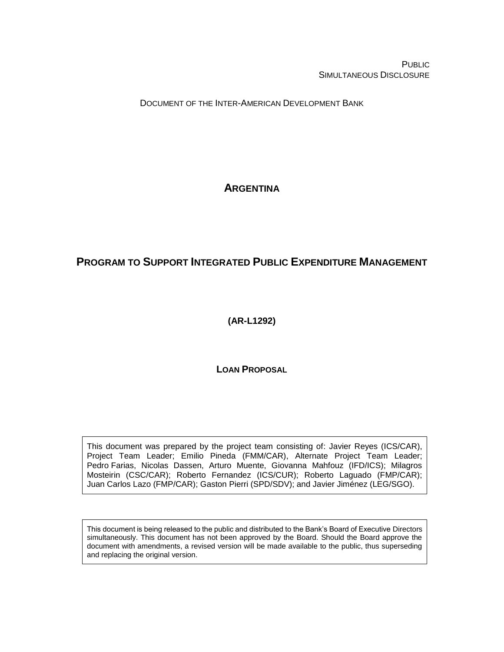**PUBLIC** SIMULTANEOUS DISCLOSURE

DOCUMENT OF THE INTER-AMERICAN DEVELOPMENT BANK

# **ARGENTINA**

# **PROGRAM TO SUPPORT INTEGRATED PUBLIC EXPENDITURE MANAGEMENT**

**(AR-L1292)**

**LOAN PROPOSAL**

This document was prepared by the project team consisting of: Javier Reyes (ICS/CAR), Project Team Leader; Emilio Pineda (FMM/CAR), Alternate Project Team Leader; Pedro Farias, Nicolas Dassen, Arturo Muente, Giovanna Mahfouz (IFD/ICS); Milagros Mosteirin (CSC/CAR); Roberto Fernandez (ICS/CUR); Roberto Laguado (FMP/CAR); Juan Carlos Lazo (FMP/CAR); Gaston Pierri (SPD/SDV); and Javier Jiménez (LEG/SGO).

This document is being released to the public and distributed to the Bank's Board of Executive Directors simultaneously. This document has not been approved by the Board. Should the Board approve the document with amendments, a revised version will be made available to the public, thus superseding and replacing the original version.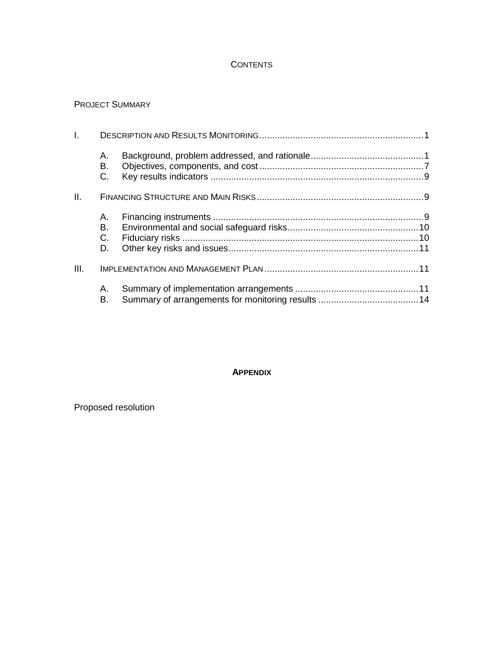### **CONTENTS**

### PROJECT SUMMARY

| L.   |                |  |  |  |  |
|------|----------------|--|--|--|--|
|      | А.<br>В.<br>C. |  |  |  |  |
| II.  |                |  |  |  |  |
|      | А.             |  |  |  |  |
|      | В.             |  |  |  |  |
|      | $C_{\cdot}$    |  |  |  |  |
|      | D.             |  |  |  |  |
| III. |                |  |  |  |  |
|      | А.<br>В.       |  |  |  |  |

### **APPENDIX**

Proposed resolution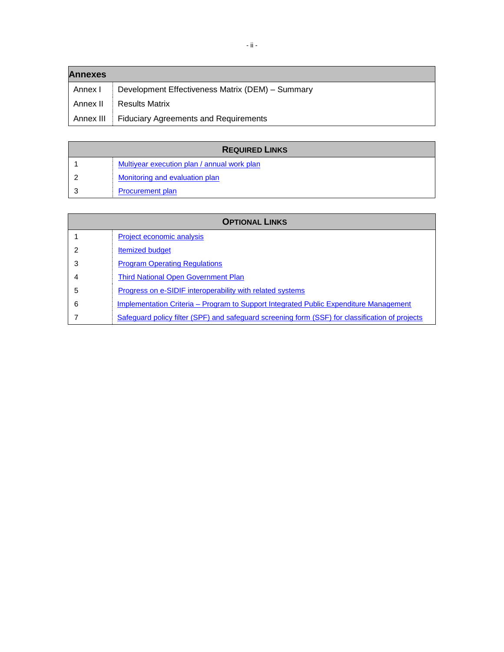| <b>Annexes</b> |                                                  |  |  |  |
|----------------|--------------------------------------------------|--|--|--|
| Annex I        | Development Effectiveness Matrix (DEM) - Summary |  |  |  |
| Annex II       | <b>Results Matrix</b>                            |  |  |  |
| Annex III      | <b>Fiduciary Agreements and Requirements</b>     |  |  |  |

| <b>REQUIRED LINKS</b> |                                             |  |
|-----------------------|---------------------------------------------|--|
|                       | Multiyear execution plan / annual work plan |  |
|                       | Monitoring and evaluation plan              |  |
|                       | <b>Procurement plan</b>                     |  |

| <b>OPTIONAL LINKS</b> |                                                                                                 |  |  |
|-----------------------|-------------------------------------------------------------------------------------------------|--|--|
|                       | Project economic analysis                                                                       |  |  |
| 2                     | <b>Itemized budget</b>                                                                          |  |  |
| 3                     | <b>Program Operating Regulations</b>                                                            |  |  |
| 4                     | <b>Third National Open Government Plan</b>                                                      |  |  |
| 5                     | Progress on e-SIDIF interoperability with related systems                                       |  |  |
| 6                     | Implementation Criteria – Program to Support Integrated Public Expenditure Management           |  |  |
|                       | Safeguard policy filter (SPF) and safeguard screening form (SSF) for classification of projects |  |  |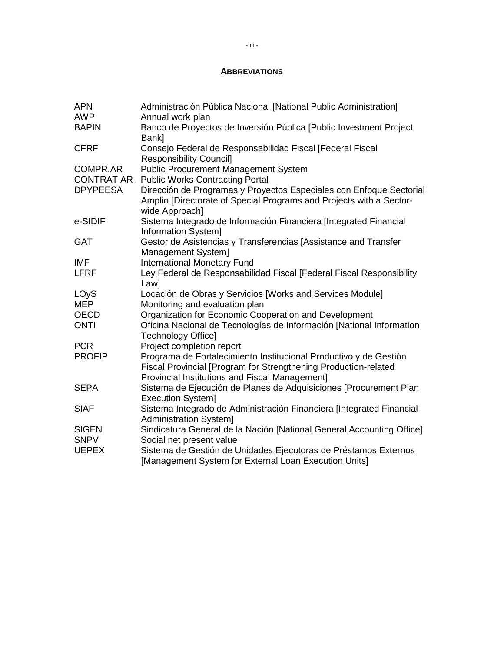### **ABBREVIATIONS**

| <b>APN</b><br><b>AWP</b>      | Administración Pública Nacional [National Public Administration]<br>Annual work plan                                                                         |
|-------------------------------|--------------------------------------------------------------------------------------------------------------------------------------------------------------|
| <b>BAPIN</b>                  | Banco de Proyectos de Inversión Pública [Public Investment Project                                                                                           |
| <b>CFRF</b>                   | Bank]<br>Consejo Federal de Responsabilidad Fiscal [Federal Fiscal<br><b>Responsibility Council]</b>                                                         |
| <b>COMPR.AR</b><br>CONTRAT.AR | <b>Public Procurement Management System</b><br><b>Public Works Contracting Portal</b>                                                                        |
| <b>DPYPEESA</b>               | Dirección de Programas y Proyectos Especiales con Enfoque Sectorial<br>Amplio [Directorate of Special Programs and Projects with a Sector-<br>wide Approach] |
| e-SIDIF                       | Sistema Integrado de Información Financiera [Integrated Financial<br>Information System]                                                                     |
| <b>GAT</b>                    | Gestor de Asistencias y Transferencias [Assistance and Transfer<br>Management System]                                                                        |
| <b>IMF</b>                    | <b>International Monetary Fund</b>                                                                                                                           |
| <b>LFRF</b>                   | Ley Federal de Responsabilidad Fiscal [Federal Fiscal Responsibility<br>Law]                                                                                 |
| LOyS                          | Locación de Obras y Servicios [Works and Services Module]                                                                                                    |
| <b>MEP</b>                    | Monitoring and evaluation plan                                                                                                                               |
| <b>OECD</b>                   | Organization for Economic Cooperation and Development                                                                                                        |
| <b>ONTI</b>                   | Oficina Nacional de Tecnologías de Información [National Information<br><b>Technology Office]</b>                                                            |
| <b>PCR</b>                    | Project completion report                                                                                                                                    |
| <b>PROFIP</b>                 | Programa de Fortalecimiento Institucional Productivo y de Gestión<br>Fiscal Provincial [Program for Strengthening Production-related                         |
| <b>SEPA</b>                   | Provincial Institutions and Fiscal Management]<br>Sistema de Ejecución de Planes de Adquisiciones [Procurement Plan<br>Execution System]                     |
| <b>SIAF</b>                   | Sistema Integrado de Administración Financiera [Integrated Financial<br><b>Administration System]</b>                                                        |
| <b>SIGEN</b>                  | Sindicatura General de la Nación [National General Accounting Office]                                                                                        |
| <b>SNPV</b>                   | Social net present value                                                                                                                                     |
| <b>UEPEX</b>                  | Sistema de Gestión de Unidades Ejecutoras de Préstamos Externos<br>[Management System for External Loan Execution Units]                                     |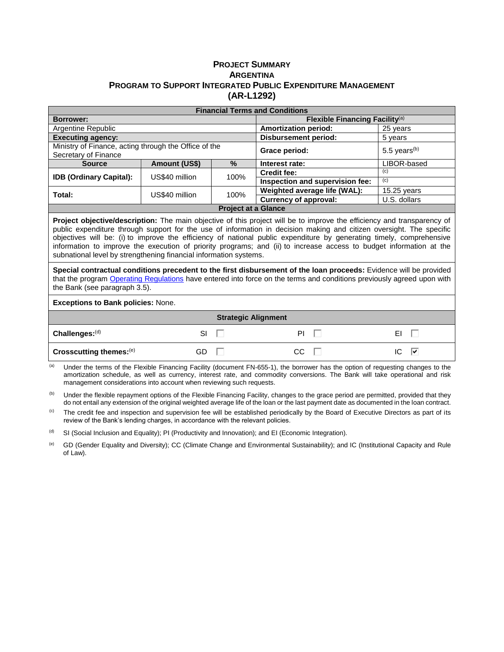### **PROJECT SUMMARY ARGENTINA PROGRAM TO SUPPORT INTEGRATED PUBLIC EXPENDITURE MANAGEMENT (AR-L1292)**

| <b>Financial Terms and Conditions</b>                                                                                                                                                                                                                                                                                                                                                                                                                                                                                                                                      |                |                            |                                   |                            |  |
|----------------------------------------------------------------------------------------------------------------------------------------------------------------------------------------------------------------------------------------------------------------------------------------------------------------------------------------------------------------------------------------------------------------------------------------------------------------------------------------------------------------------------------------------------------------------------|----------------|----------------------------|-----------------------------------|----------------------------|--|
| <b>Borrower:</b>                                                                                                                                                                                                                                                                                                                                                                                                                                                                                                                                                           |                |                            | Flexible Financing Facility $(a)$ |                            |  |
| Argentine Republic                                                                                                                                                                                                                                                                                                                                                                                                                                                                                                                                                         |                |                            | <b>Amortization period:</b>       | 25 years                   |  |
| <b>Executing agency:</b>                                                                                                                                                                                                                                                                                                                                                                                                                                                                                                                                                   |                |                            | <b>Disbursement period:</b>       | 5 years                    |  |
| Ministry of Finance, acting through the Office of the<br>Secretary of Finance                                                                                                                                                                                                                                                                                                                                                                                                                                                                                              |                |                            | Grace period:                     | $5.5$ years <sup>(b)</sup> |  |
| <b>Source</b>                                                                                                                                                                                                                                                                                                                                                                                                                                                                                                                                                              | Amount (US\$)  | %                          | Interest rate:                    | LIBOR-based                |  |
| <b>IDB (Ordinary Capital):</b>                                                                                                                                                                                                                                                                                                                                                                                                                                                                                                                                             | US\$40 million | 100%                       | <b>Credit fee:</b>                | (c)                        |  |
|                                                                                                                                                                                                                                                                                                                                                                                                                                                                                                                                                                            |                |                            | Inspection and supervision fee:   | (c)                        |  |
| Total:                                                                                                                                                                                                                                                                                                                                                                                                                                                                                                                                                                     | US\$40 million | 100%                       | Weighted average life (WAL):      | $15.25$ years              |  |
|                                                                                                                                                                                                                                                                                                                                                                                                                                                                                                                                                                            |                |                            | <b>Currency of approval:</b>      | U.S. dollars               |  |
|                                                                                                                                                                                                                                                                                                                                                                                                                                                                                                                                                                            |                | <b>Project at a Glance</b> |                                   |                            |  |
| <b>Project objective/description:</b> The main objective of this project will be to improve the efficiency and transparency of<br>public expenditure through support for the use of information in decision making and citizen oversight. The specific<br>objectives will be: (i) to improve the efficiency of national public expenditure by generating timely, comprehensive<br>information to improve the execution of priority programs; and (ii) to increase access to budget information at the<br>subnational level by strengthening financial information systems. |                |                            |                                   |                            |  |
| Special contractual conditions precedent to the first disbursement of the loan proceeds: Evidence will be provided<br>that the program Operating Regulations have entered into force on the terms and conditions previously agreed upon with<br>the Bank (see paragraph 3.5).<br><b>Exceptions to Bank policies: None.</b>                                                                                                                                                                                                                                                 |                |                            |                                   |                            |  |
|                                                                                                                                                                                                                                                                                                                                                                                                                                                                                                                                                                            |                |                            |                                   |                            |  |
| <b>Strategic Alignment</b>                                                                                                                                                                                                                                                                                                                                                                                                                                                                                                                                                 |                |                            |                                   |                            |  |

|                          | Strategic Alignment |    |          |
|--------------------------|---------------------|----|----------|
| $ $ Challenges: $($ d)   | SI                  | ΡI | ΕI       |
| Crosscutting themes: (e) | GD                  | CС | IC<br> ⊽ |

(a) Under the terms of the Flexible Financing Facility (document FN-655-1), the borrower has the option of requesting changes to the amortization schedule, as well as currency, interest rate, and commodity conversions. The Bank will take operational and risk management considerations into account when reviewing such requests.

<sup>(b)</sup> Under the flexible repayment options of the Flexible Financing Facility, changes to the grace period are permitted, provided that they do not entail any extension of the original weighted average life of the loan or the last payment date as documented in the loan contract.

<sup>(c)</sup> The credit fee and inspection and supervision fee will be established periodically by the Board of Executive Directors as part of its review of the Bank's lending charges, in accordance with the relevant policies.

 $<sup>(d)</sup>$  SI (Social Inclusion and Equality); PI (Productivity and Innovation); and EI (Economic Integration).</sup>

(e) GD (Gender Equality and Diversity); CC (Climate Change and Environmental Sustainability); and IC (Institutional Capacity and Rule of Law).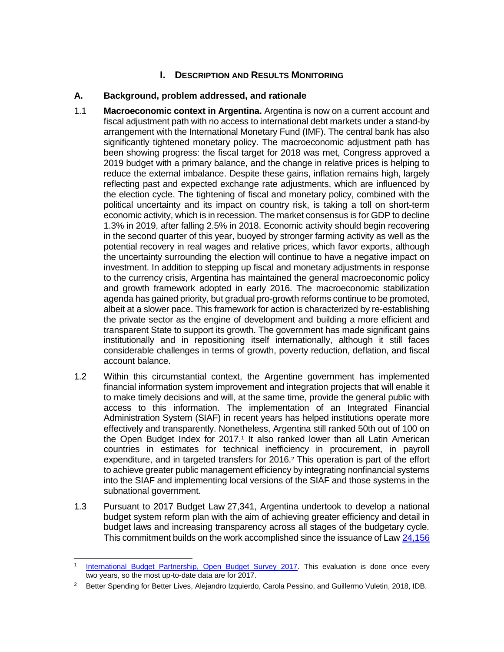### **I.** DESCRIPTION AND RESULTS MONITORING

### **A. Background, problem addressed, and rationale**

- 1.1 **Macroeconomic context in Argentina.** Argentina is now on a current account and fiscal adjustment path with no access to international debt markets under a stand-by arrangement with the International Monetary Fund (IMF). The central bank has also significantly tightened monetary policy. The macroeconomic adjustment path has been showing progress: the fiscal target for 2018 was met, Congress approved a 2019 budget with a primary balance, and the change in relative prices is helping to reduce the external imbalance. Despite these gains, inflation remains high, largely reflecting past and expected exchange rate adjustments, which are influenced by the election cycle. The tightening of fiscal and monetary policy, combined with the political uncertainty and its impact on country risk, is taking a toll on short-term economic activity, which is in recession. The market consensus is for GDP to decline 1.3% in 2019, after falling 2.5% in 2018. Economic activity should begin recovering in the second quarter of this year, buoyed by stronger farming activity as well as the potential recovery in real wages and relative prices, which favor exports, although the uncertainty surrounding the election will continue to have a negative impact on investment. In addition to stepping up fiscal and monetary adjustments in response to the currency crisis, Argentina has maintained the general macroeconomic policy and growth framework adopted in early 2016. The macroeconomic stabilization agenda has gained priority, but gradual pro-growth reforms continue to be promoted, albeit at a slower pace. This framework for action is characterized by re-establishing the private sector as the engine of development and building a more efficient and transparent State to support its growth. The government has made significant gains institutionally and in repositioning itself internationally, although it still faces considerable challenges in terms of growth, poverty reduction, deflation, and fiscal account balance.
- 1.2 Within this circumstantial context, the Argentine government has implemented financial information system improvement and integration projects that will enable it to make timely decisions and will, at the same time, provide the general public with access to this information. The implementation of an Integrated Financial Administration System (SIAF) in recent years has helped institutions operate more effectively and transparently. Nonetheless, Argentina still ranked 50th out of 100 on the Open Budget Index for 2017.<sup>1</sup> It also ranked lower than all Latin American countries in estimates for technical inefficiency in procurement, in payroll expenditure, and in targeted transfers for 2016.<sup>2</sup> This operation is part of the effort to achieve greater public management efficiency by integrating nonfinancial systems into the SIAF and implementing local versions of the SIAF and those systems in the subnational government.
- 1.3 Pursuant to 2017 Budget Law 27,341, Argentina undertook to develop a national budget system reform plan with the aim of achieving greater efficiency and detail in budget laws and increasing transparency across all stages of the budgetary cycle. This commitment builds on the work accomplished since the issuance of Law [24,156](http://servicios.infoleg.gob.ar/infolegInternet/anexos/0-4999/554/norma.htm)

 1 [International Budget Partnership, Open Budget Survey 2017.](https://www.internationalbudget.org/open-budget-survey/results-by-country/country-info/?country=ar) This evaluation is done once every two years, so the most up-to-date data are for 2017.

<sup>&</sup>lt;sup>2</sup> Better Spending for Better Lives, Alejandro Izquierdo, Carola Pessino, and Guillermo Vuletin, 2018, IDB.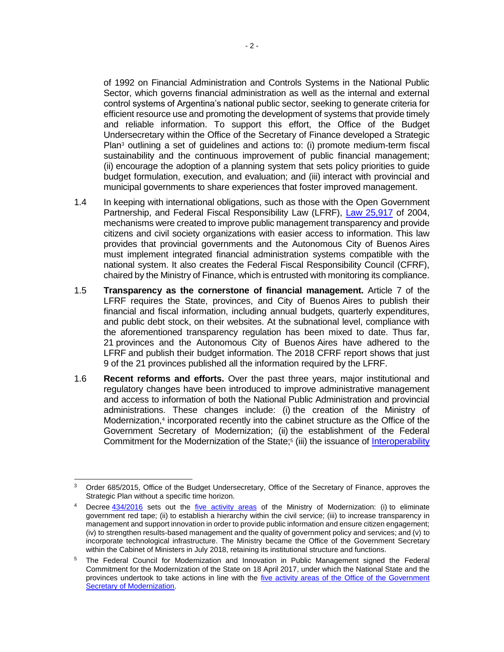of 1992 on Financial Administration and Controls Systems in the National Public Sector, which governs financial administration as well as the internal and external control systems of Argentina's national public sector, seeking to generate criteria for efficient resource use and promoting the development of systems that provide timely and reliable information. To support this effort, the Office of the Budget Undersecretary within the Office of the Secretary of Finance developed a Strategic Plan<sup>3</sup> outlining a set of guidelines and actions to: (i) promote medium-term fiscal sustainability and the continuous improvement of public financial management; (ii) encourage the adoption of a planning system that sets policy priorities to guide budget formulation, execution, and evaluation; and (iii) interact with provincial and municipal governments to share experiences that foster improved management.

- 1.4 In keeping with international obligations, such as those with the Open Government Partnership, and Federal Fiscal Responsibility Law (LFRF), [Law 25,917](http://servicios.infoleg.gob.ar/infolegInternet/anexos/95000-99999/97698/texact.htm) of 2004, mechanisms were created to improve public management transparency and provide citizens and civil society organizations with easier access to information. This law provides that provincial governments and the Autonomous City of Buenos Aires must implement integrated financial administration systems compatible with the national system. It also creates the Federal Fiscal Responsibility Council (CFRF), chaired by the Ministry of Finance, which is entrusted with monitoring its compliance.
- 1.5 **Transparency as the cornerstone of financial management.** Article 7 of the LFRF requires the State, provinces, and City of Buenos Aires to publish their financial and fiscal information, including annual budgets, quarterly expenditures, and public debt stock, on their websites. At the subnational level, compliance with the aforementioned transparency regulation has been mixed to date. Thus far, 21 provinces and the Autonomous City of Buenos Aires have adhered to the LFRF and publish their budget information. The 2018 CFRF report shows that just 9 of the 21 provinces published all the information required by the LFRF.
- 1.6 **Recent reforms and efforts.** Over the past three years, major institutional and regulatory changes have been introduced to improve administrative management and access to information of both the National Public Administration and provincial administrations. These changes include: (i) the creation of the Ministry of Modernization,<sup>4</sup> incorporated recently into the cabinet structure as the Office of the Government Secretary of Modernization; (ii) the establishment of the Federal Commitment for the Modernization of the State;<sup>5</sup> (iii) the issuance of *Interoperability*

 <sup>3</sup> Order 685/2015, Office of the Budget Undersecretary, Office of the Secretary of Finance, approves the Strategic Plan without a specific time horizon.

Decree [434/2016](http://servicios.infoleg.gob.ar/infolegInternet/anexos/255000-259999/259082/norma.htm) sets out the [five activity areas](https://www.argentina.gob.ar/sites/default/files/compromiso_federal_para_la_modernizacion_del_estado_0.pdf) of the Ministry of Modernization: (i) to eliminate government red tape; (ii) to establish a hierarchy within the civil service; (iii) to increase transparency in management and support innovation in order to provide public information and ensure citizen engagement; (iv) to strengthen results-based management and the quality of government policy and services; and (v) to incorporate technological infrastructure. The Ministry became the Office of the Government Secretary within the Cabinet of Ministers in July 2018, retaining its institutional structure and functions.

<sup>5</sup> The Federal Council for Modernization and Innovation in Public Management signed the [Federal](https://www.argentina.gob.ar/sites/default/files/compromiso_federal_para_la_modernizacion_del_estado_0.pdf)  [Commitment for the Modernization of the State on 18 April](https://www.argentina.gob.ar/sites/default/files/compromiso_federal_para_la_modernizacion_del_estado_0.pdf) 2017, under which the National State and the provinces undertook to take actions in line with the [five activity areas of the Office of the Government](https://www.argentina.gob.ar/sites/default/files/compromiso_federal_para_la_modernizacion_del_estado_0.pdf)  [Secretary of Modernization.](https://www.argentina.gob.ar/sites/default/files/compromiso_federal_para_la_modernizacion_del_estado_0.pdf)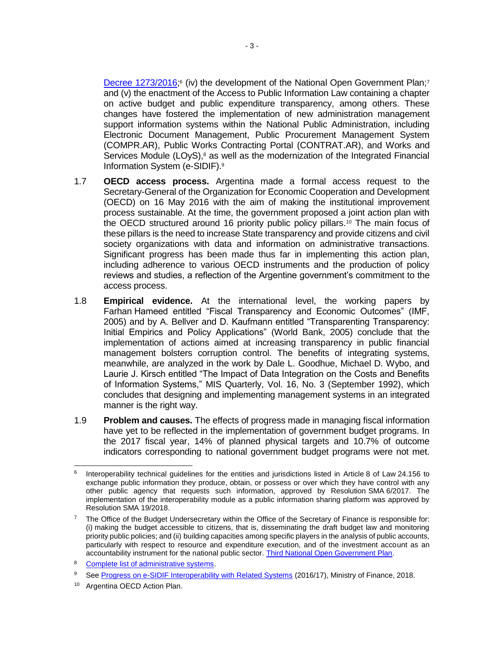[Decree 1273/2016;](http://servicios.infoleg.gob.ar/infolegInternet/anexos/265000-269999/269242/norma.htm)<sup>6</sup> (iv) the development of the National Open Government Plan;<sup>7</sup> and (v) the enactment of the Access to Public Information Law containing a chapter on active budget and public expenditure transparency, among others. These changes have fostered the implementation of new administration management support information systems within the National Public Administration, including Electronic Document Management, Public Procurement Management System (COMPR.AR), Public Works Contracting Portal (CONTRAT.AR), and Works and Services Module (LOyS), $8$  as well as the modernization of the Integrated Financial Information System (e-SIDIF).<sup>9</sup>

- 1.7 **OECD access process.** Argentina made a formal access request to the Secretary-General of the Organization for Economic Cooperation and Development (OECD) on 16 May 2016 with the aim of making the institutional improvement process sustainable. At the time, the government proposed a joint action plan with the OECD structured around 16 priority public policy pillars.<sup>10</sup> The main focus of these pillars is the need to increase State transparency and provide citizens and civil society organizations with data and information on administrative transactions. Significant progress has been made thus far in implementing this action plan, including adherence to various OECD instruments and the production of policy reviews and studies, a reflection of the Argentine government's commitment to the access process.
- 1.8 **Empirical evidence.** At the international level, the working papers by Farhan Hameed entitled "Fiscal Transparency and Economic Outcomes" (IMF, 2005) and by A. Bellver and D. Kaufmann entitled "Transparenting Transparency: Initial Empirics and Policy Applications" (World Bank, 2005) conclude that the implementation of actions aimed at increasing transparency in public financial management bolsters corruption control. The benefits of integrating systems, meanwhile, are analyzed in the work by Dale L. Goodhue, Michael D. Wybo, and Laurie J. Kirsch entitled "The Impact of Data Integration on the Costs and Benefits of Information Systems," MIS Quarterly, Vol. 16, No. 3 (September 1992), which concludes that designing and implementing management systems in an integrated manner is the right way.
- 1.9 **Problem and causes.** The effects of progress made in managing fiscal information have yet to be reflected in the implementation of government budget programs. In the 2017 fiscal year, 14% of planned physical targets and 10.7% of outcome indicators corresponding to national government budget programs were not met.

 6 Interoperability technical guidelines for the entities and jurisdictions listed in Article 8 of Law 24.156 to exchange public information they produce, obtain, or possess or over which they have control with any other public agency that requests such information, approved by Resolution SMA 6/2017. The implementation of the interoperability module as a public information sharing platform was approved by Resolution SMA 19/2018.

<sup>&</sup>lt;sup>7</sup> The Office of the Budget Undersecretary within the Office of the Secretary of Finance is responsible for: (i) making the budget accessible to citizens, that is, disseminating the draft budget law and monitoring priority public policies; and (ii) building capacities among specific players in the analysis of public accounts, particularly with respect to resource and expenditure execution, and of the investment account as an accountability instrument for the national public sector. [Third National Open Government Plan.](https://www.argentina.gob.ar/sites/default/files/digital_-_tercer_plan_de_accion.pdf)

<sup>8</sup> [Complete list of administrative systems.](https://idbg.sharepoint.com/teams/EZ-AR-LON/AR-L1292/05%20Basic%20Data/Listado%20de%20sistemas.pdf)

<sup>&</sup>lt;sup>9</sup> See [Progress on e-SIDIF Interoperability with Related Systems](https://idbg.sharepoint.com/teams/EZ-AR-LON/AR-L1292/05%20Basic%20Data/Avance%20de%20Interoperabilidad.pdf) (2016/17), Ministry of Finance, 2018.

<sup>10</sup> Argentina OECD Action Plan.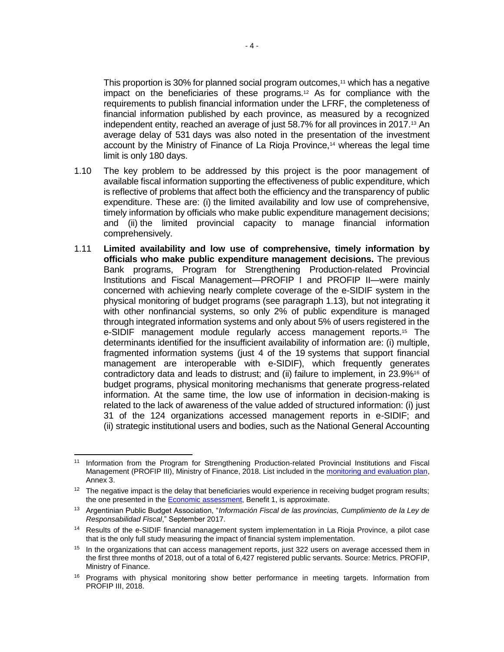This proportion is 30% for planned social program outcomes,<sup>11</sup> which has a negative impact on the beneficiaries of these programs.<sup>12</sup> As for compliance with the requirements to publish financial information under the LFRF, the completeness of financial information published by each province, as measured by a recognized independent entity, reached an average of just 58.7% for all provinces in 2017.<sup>13</sup> An average delay of 531 days was also noted in the presentation of the investment account by the Ministry of Finance of La Rioja Province,<sup>14</sup> whereas the legal time limit is only 180 days.

- 1.10 The key problem to be addressed by this project is the poor management of available fiscal information supporting the effectiveness of public expenditure, which is reflective of problems that affect both the efficiency and the transparency of public expenditure. These are: (i) the limited availability and low use of comprehensive, timely information by officials who make public expenditure management decisions; and (ii) the limited provincial capacity to manage financial information comprehensively.
- 1.11 **Limited availability and low use of comprehensive, timely information by officials who make public expenditure management decisions.** The previous Bank programs, Program for Strengthening Production-related Provincial Institutions and Fiscal Management—PROFIP I and PROFIP II—were mainly concerned with achieving nearly complete coverage of the e-SIDIF system in the physical monitoring of budget programs (see paragraph 1.13), but not integrating it with other nonfinancial systems, so only 2% of public expenditure is managed through integrated information systems and only about 5% of users registered in the e-SIDIF management module regularly access management reports.<sup>15</sup> The determinants identified for the insufficient availability of information are: (i) multiple, fragmented information systems (just 4 of the 19 systems that support financial management are interoperable with e-SIDIF), which frequently generates contradictory data and leads to distrust; and (ii) failure to implement, in 23.9%<sup>16</sup> of budget programs, physical monitoring mechanisms that generate progress-related information. At the same time, the low use of information in decision-making is related to the lack of awareness of the value added of structured information: (i) just 31 of the 124 organizations accessed management reports in e-SIDIF; and (ii) strategic institutional users and bodies, such as the National General Accounting

 $\overline{a}$ <sup>11</sup> Information from the Program for Strengthening Production-related Provincial Institutions and Fiscal Management (PROFIP III), Ministry of Finance, 2018. List included in the [monitoring and evaluation plan,](http://idbdocs.iadb.org/wsdocs/getDocument.aspx?DOCNUM=EZSHARE-119605780-38) Annex 3.

<sup>&</sup>lt;sup>12</sup> The negative impact is the delay that beneficiaries would experience in receiving budget program results; the one presented in the [Economic assessment,](http://idbdocs.iadb.org/wsdocs/getDocument.aspx?DOCNUM=EZSHARE-119605780-34) Benefit 1, is approximate.

<sup>13</sup> Argentinian Public Budget Association, "*Información Fiscal de las provincias, Cumplimiento de la Ley de Responsabilidad Fiscal*," September 2017.

<sup>14</sup> Results of the e-SIDIF financial management system implementation in La Rioja Province, a pilot case that is the only full study measuring the impact of financial system implementation.

 $15$  In the organizations that can access management reports, just 322 users on average accessed them in the first three months of 2018, out of a total of 6,427 registered public servants. Source: Metrics. PROFIP, Ministry of Finance.

<sup>&</sup>lt;sup>16</sup> Programs with physical monitoring show better performance in meeting targets. Information from PROFIP III, 2018.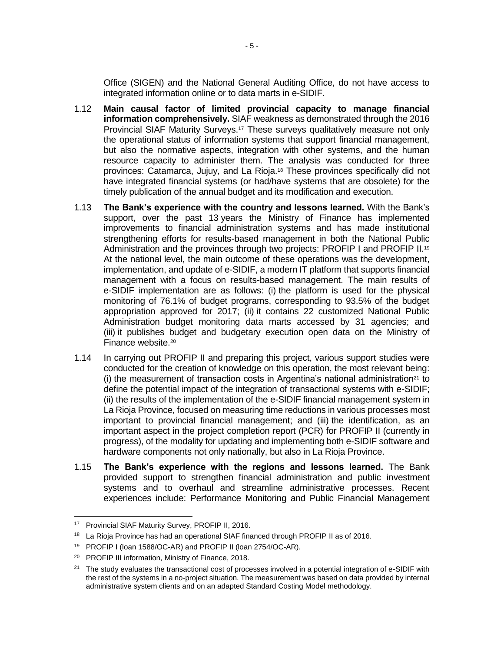Office (SIGEN) and the National General Auditing Office, do not have access to integrated information online or to data marts in e-SIDIF.

- 1.12 **Main causal factor of limited provincial capacity to manage financial information comprehensively.** SIAF weakness as demonstrated through the 2016 Provincial SIAF Maturity Surveys.<sup>17</sup> These surveys qualitatively measure not only the operational status of information systems that support financial management, but also the normative aspects, integration with other systems, and the human resource capacity to administer them. The analysis was conducted for three provinces: Catamarca, Jujuy, and La Rioja.<sup>18</sup> These provinces specifically did not have integrated financial systems (or had/have systems that are obsolete) for the timely publication of the annual budget and its modification and execution.
- 1.13 **The Bank's experience with the country and lessons learned.** With the Bank's support, over the past 13 years the Ministry of Finance has implemented improvements to financial administration systems and has made institutional strengthening efforts for results-based management in both the National Public Administration and the provinces through two projects: PROFIP I and PROFIP II.<sup>19</sup> At the national level, the main outcome of these operations was the development, implementation, and update of e-SIDIF, a modern IT platform that supports financial management with a focus on results-based management. The main results of e-SIDIF implementation are as follows: (i) the platform is used for the physical monitoring of 76.1% of budget programs, corresponding to 93.5% of the budget appropriation approved for 2017; (ii) it contains 22 customized National Public Administration budget monitoring data marts accessed by 31 agencies; and (iii) it publishes budget and budgetary execution open data on the Ministry of Finance website.<sup>20</sup>
- 1.14 In carrying out PROFIP II and preparing this project, various support studies were conducted for the creation of knowledge on this operation, the most relevant being: (i) the measurement of transaction costs in Argentina's national administration<sup>21</sup> to define the potential impact of the integration of transactional systems with e-SIDIF; (ii) the results of the implementation of the e-SIDIF financial management system in La Rioja Province, focused on measuring time reductions in various processes most important to provincial financial management; and (iii) the identification, as an important aspect in the project completion report (PCR) for PROFIP II (currently in progress), of the modality for updating and implementing both e-SIDIF software and hardware components not only nationally, but also in La Rioja Province.
- 1.15 **The Bank's experience with the regions and lessons learned.** The Bank provided support to strengthen financial administration and public investment systems and to overhaul and streamline administrative processes. Recent experiences include: Performance Monitoring and Public Financial Management

<sup>17</sup> Provincial SIAF Maturity Survey, PROFIP II, 2016.

<sup>&</sup>lt;sup>18</sup> La Rioja Province has had an operational SIAF financed through PROFIP II as of 2016.

<sup>19</sup> PROFIP I (loan 1588/OC-AR) and PROFIP II (loan 2754/OC-AR).

<sup>20</sup> PROFIP III information, Ministry of Finance, 2018.

 $21$  The study evaluates the transactional cost of processes involved in a potential integration of e-SIDIF with the rest of the systems in a no-project situation. The measurement was based on data provided by internal administrative system clients and on an adapted Standard Costing Model methodology.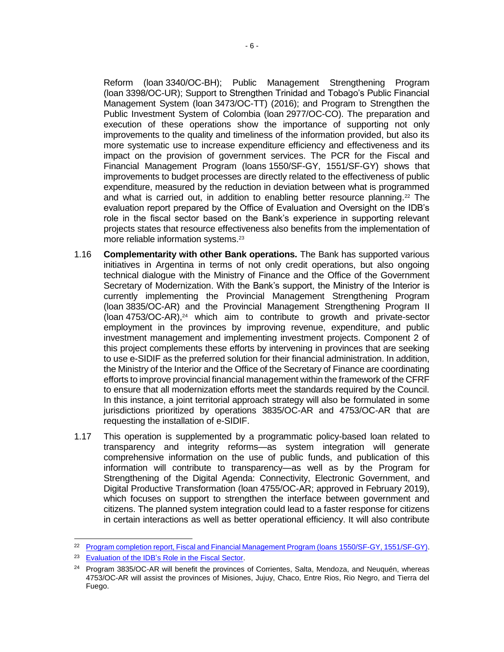Reform (loan 3340/OC-BH); Public Management Strengthening Program (loan 3398/OC-UR); Support to Strengthen Trinidad and Tobago's Public Financial Management System (loan 3473/OC-TT) (2016); and Program to Strengthen the Public Investment System of Colombia (loan 2977/OC-CO). The preparation and execution of these operations show the importance of supporting not only improvements to the quality and timeliness of the information provided, but also its more systematic use to increase expenditure efficiency and effectiveness and its impact on the provision of government services. The PCR for the Fiscal and Financial Management Program (loans 1550/SF-GY, 1551/SF-GY) shows that improvements to budget processes are directly related to the effectiveness of public expenditure, measured by the reduction in deviation between what is programmed and what is carried out, in addition to enabling better resource planning.<sup>22</sup> The evaluation report prepared by the Office of Evaluation and Oversight on the IDB's role in the fiscal sector based on the Bank's experience in supporting relevant projects states that resource effectiveness also benefits from the implementation of more reliable information systems.<sup>23</sup>

- 1.16 **Complementarity with other Bank operations.** The Bank has supported various initiatives in Argentina in terms of not only credit operations, but also ongoing technical dialogue with the Ministry of Finance and the Office of the Government Secretary of Modernization. With the Bank's support, the Ministry of the Interior is currently implementing the Provincial Management Strengthening Program (loan 3835/OC-AR) and the Provincial Management Strengthening Program II (loan 4753/OC-AR),<sup>24</sup> which aim to contribute to growth and private-sector employment in the provinces by improving revenue, expenditure, and public investment management and implementing investment projects. Component 2 of this project complements these efforts by intervening in provinces that are seeking to use e-SIDIF as the preferred solution for their financial administration. In addition, the Ministry of the Interior and the Office of the Secretary of Finance are coordinating efforts to improve provincial financial management within the framework of the CFRF to ensure that all modernization efforts meet the standards required by the Council. In this instance, a joint territorial approach strategy will also be formulated in some jurisdictions prioritized by operations 3835/OC-AR and 4753/OC-AR that are requesting the installation of e-SIDIF.
- 1.17 This operation is supplemented by a programmatic policy-based loan related to transparency and integrity reforms—as system integration will generate comprehensive information on the use of public funds, and publication of this information will contribute to transparency—as well as by the Program for Strengthening of the Digital Agenda: Connectivity, Electronic Government, and Digital Productive Transformation (loan 4755/OC-AR; approved in February 2019), which focuses on support to strengthen the interface between government and citizens. The planned system integration could lead to a faster response for citizens in certain interactions as well as better operational efficiency. It will also contribute

 <sup>22</sup> Program completion report, Fiscal and Financial Management Program (Ioans 1550/SF-GY, 1551/SF-GY).

<sup>&</sup>lt;sup>23</sup> [Evaluation of the IDB's Role in the Fiscal Sector.](https://publications.iadb.org/publications/english/document/Evaluation-of-the-IDB-Role-in-the-Fiscal-Sector.pdf)

<sup>&</sup>lt;sup>24</sup> Program 3835/OC-AR will benefit the provinces of Corrientes, Salta, Mendoza, and Neuquén, whereas 4753/OC-AR will assist the provinces of Misiones, Jujuy, Chaco, Entre Rios, Rio Negro, and Tierra del Fuego.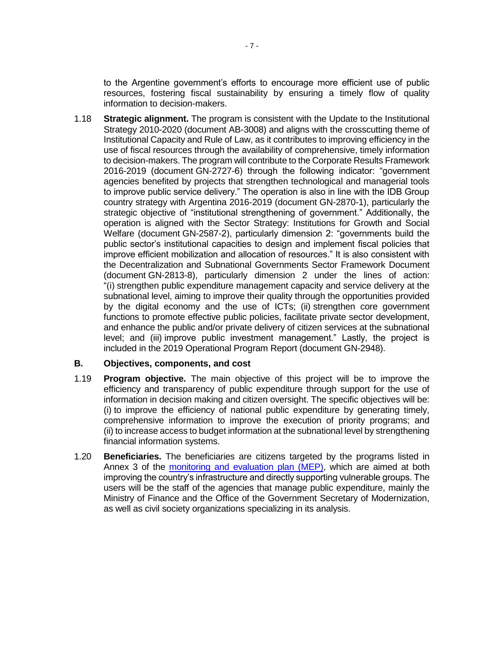to the Argentine government's efforts to encourage more efficient use of public resources, fostering fiscal sustainability by ensuring a timely flow of quality information to decision-makers.

1.18 **Strategic alignment.** The program is consistent with the Update to the Institutional Strategy 2010-2020 (document AB-3008) and aligns with the crosscutting theme of Institutional Capacity and Rule of Law, as it contributes to improving efficiency in the use of fiscal resources through the availability of comprehensive, timely information to decision-makers. The program will contribute to the Corporate Results Framework 2016-2019 (document GN-2727-6) through the following indicator: "government agencies benefited by projects that strengthen technological and managerial tools to improve public service delivery." The operation is also in line with the IDB Group country strategy with Argentina 2016-2019 (document GN-2870-1), particularly the strategic objective of "institutional strengthening of government." Additionally, the operation is aligned with the Sector Strategy: Institutions for Growth and Social Welfare (document GN-2587-2), particularly dimension 2: "governments build the public sector's institutional capacities to design and implement fiscal policies that improve efficient mobilization and allocation of resources." It is also consistent with the Decentralization and Subnational Governments Sector Framework Document (document GN-2813-8), particularly dimension 2 under the lines of action: "(i) strengthen public expenditure management capacity and service delivery at the subnational level, aiming to improve their quality through the opportunities provided by the digital economy and the use of ICTs; (ii) strengthen core government functions to promote effective public policies, facilitate private sector development, and enhance the public and/or private delivery of citizen services at the subnational level; and (iii) improve public investment management." Lastly, the project is included in the 2019 Operational Program Report (document GN-2948).

### **B. Objectives, components, and cost**

- 1.19 **Program objective.** The main objective of this project will be to improve the efficiency and transparency of public expenditure through support for the use of information in decision making and citizen oversight. The specific objectives will be: (i) to improve the efficiency of national public expenditure by generating timely, comprehensive information to improve the execution of priority programs; and (ii) to increase access to budget information at the subnational level by strengthening financial information systems.
- 1.20 **Beneficiaries.** The beneficiaries are citizens targeted by the programs listed in Annex 3 of the [monitoring and evaluation plan \(MEP\)](http://idbdocs.iadb.org/wsdocs/getDocument.aspx?DOCNUM=EZSHARE-119605780-38), which are aimed at both improving the country's infrastructure and directly supporting vulnerable groups. The users will be the staff of the agencies that manage public expenditure, mainly the Ministry of Finance and the Office of the Government Secretary of Modernization, as well as civil society organizations specializing in its analysis.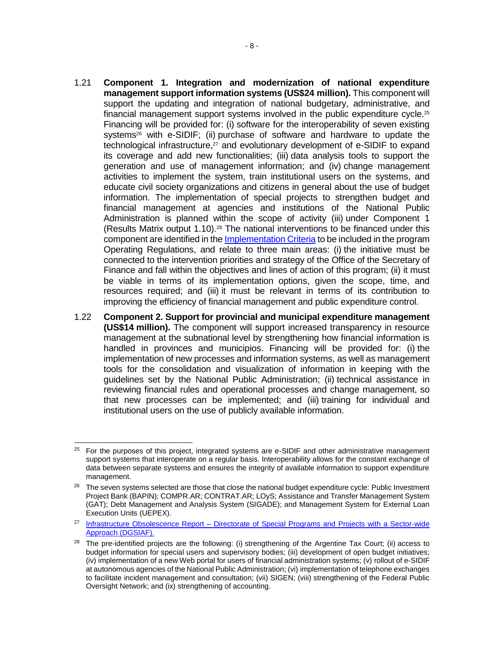- 1.21 **Component 1. Integration and modernization of national expenditure management support information systems (US\$24 million).** This component will support the updating and integration of national budgetary, administrative, and financial management support systems involved in the public expenditure cycle.<sup>25</sup> Financing will be provided for: (i) software for the interoperability of seven existing systems<sup>26</sup> with e-SIDIF; (ii) purchase of software and hardware to update the technological infrastructure, <sup>27</sup> and evolutionary development of e-SIDIF to expand its coverage and add new functionalities; (iii) data analysis tools to support the generation and use of management information; and (iv) change management activities to implement the system, train institutional users on the systems, and educate civil society organizations and citizens in general about the use of budget information. The implementation of special projects to strengthen budget and financial management at agencies and institutions of the National Public Administration is planned within the scope of activity (iii) under Component 1 (Results Matrix output 1.10).<sup>28</sup> The national interventions to be financed under this component are identified in the [Implementation Criteria](http://idbdocs.iadb.org/wsdocs/getDocument.aspx?DOCNUM=EZSHARE-119605780-64) to be included in the program Operating Regulations, and relate to three main areas: (i) the initiative must be connected to the intervention priorities and strategy of the Office of the Secretary of Finance and fall within the objectives and lines of action of this program; (ii) it must be viable in terms of its implementation options, given the scope, time, and resources required; and (iii) it must be relevant in terms of its contribution to improving the efficiency of financial management and public expenditure control.
- 1.22 **Component 2. Support for provincial and municipal expenditure management (US\$14 million).** The component will support increased transparency in resource management at the subnational level by strengthening how financial information is handled in provinces and municipios. Financing will be provided for: (i) the implementation of new processes and information systems, as well as management tools for the consolidation and visualization of information in keeping with the guidelines set by the National Public Administration; (ii) technical assistance in reviewing financial rules and operational processes and change management, so that new processes can be implemented; and (iii) training for individual and institutional users on the use of publicly available information.

 $\overline{a}$  $25$  For the purposes of this project, integrated systems are e-SIDIF and other administrative management support systems that interoperate on a regular basis. Interoperability allows for the constant exchange of data between separate systems and ensures the integrity of available information to support expenditure management.

 $26$  The seven systems selected are those that close the national budget expenditure cycle: Public Investment Project Bank (BAPIN); COMPR.AR; CONTRAT.AR; LOyS; Assistance and Transfer Management System (GAT); Debt Management and Analysis System (SIGADE); and Management System for External Loan Execution Units (UEPEX).

<sup>&</sup>lt;sup>27</sup> Infrastructure Obsolescence Report – Directorate of Special Programs and Projects with a Sector-wide Approach [\(DGSIAF\).](https://idbg.sharepoint.com/:w:/r/teams/EZ-AR-LON/AR-L1292/_layouts/15/Doc.aspx?sourcedoc=%7bF831F0B3-E306-4ED2-8CB5-C020D28A18BB%7d&file=Obsolescencia-Infraestructura%20DGSIAF.docx&action=default&mobileredirect=true)

<sup>&</sup>lt;sup>28</sup> The pre-identified projects are the following: (i) strengthening of the Argentine Tax Court; (ii) access to budget information for special users and supervisory bodies; (iii) development of open budget initiatives; (iv) implementation of a new Web portal for users of financial administration systems; (v) rollout of e-SIDIF at autonomous agencies of the National Public Administration; (vi) implementation of telephone exchanges to facilitate incident management and consultation; (vii) SIGEN; (viii) strengthening of the Federal Public Oversight Network; and (ix) strengthening of accounting.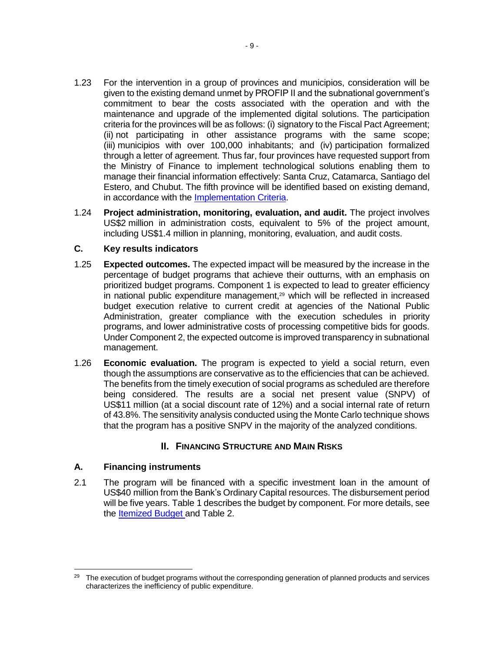- 1.23 For the intervention in a group of provinces and municipios, consideration will be given to the existing demand unmet by PROFIP II and the subnational government's commitment to bear the costs associated with the operation and with the maintenance and upgrade of the implemented digital solutions. The participation criteria for the provinces will be as follows: (i) signatory to the Fiscal Pact Agreement; (ii) not participating in other assistance programs with the same scope; (iii) municipios with over 100,000 inhabitants; and (iv) participation formalized through a letter of agreement. Thus far, four provinces have requested support from the Ministry of Finance to implement technological solutions enabling them to manage their financial information effectively: Santa Cruz, Catamarca, Santiago del Estero, and Chubut. The fifth province will be identified based on existing demand, in accordance with the [Implementation Criteria.](http://idbdocs.iadb.org/wsdocs/getDocument.aspx?DOCNUM=EZSHARE-119605780-64)
- 1.24 **Project administration, monitoring, evaluation, and audit.** The project involves US\$2 million in administration costs, equivalent to 5% of the project amount, including US\$1.4 million in planning, monitoring, evaluation, and audit costs.

### **C. Key results indicators**

- 1.25 **Expected outcomes.** The expected impact will be measured by the increase in the percentage of budget programs that achieve their outturns, with an emphasis on prioritized budget programs. Component 1 is expected to lead to greater efficiency in national public expenditure management,<sup>29</sup> which will be reflected in increased budget execution relative to current credit at agencies of the National Public Administration, greater compliance with the execution schedules in priority programs, and lower administrative costs of processing competitive bids for goods. Under Component 2, the expected outcome is improved transparency in subnational management.
- 1.26 **Economic evaluation.** The program is expected to yield a social return, even though the assumptions are conservative as to the efficiencies that can be achieved. The benefits from the timely execution of social programs as scheduled are therefore being considered. The results are a social net present value (SNPV) of US\$11 million (at a social discount rate of 12%) and a social internal rate of return of 43.8%. The sensitivity analysis conducted using the Monte Carlo technique shows that the program has a positive SNPV in the majority of the analyzed conditions.

### **II. FINANCING STRUCTURE AND MAIN RISKS**

### **A. Financing instruments**

2.1 The program will be financed with a specific investment loan in the amount of US\$40 million from the Bank's Ordinary Capital resources. The disbursement period will be five years. Table 1 describes the budget by component. For more details, see the [Itemized Budget](http://idbdocs.iadb.org/wsdocs/getDocument.aspx?DOCNUM=EZSHARE-119605780-27) and Table 2.

 $\overline{a}$ <sup>29</sup> The execution of budget programs without the corresponding generation of planned products and services characterizes the inefficiency of public expenditure.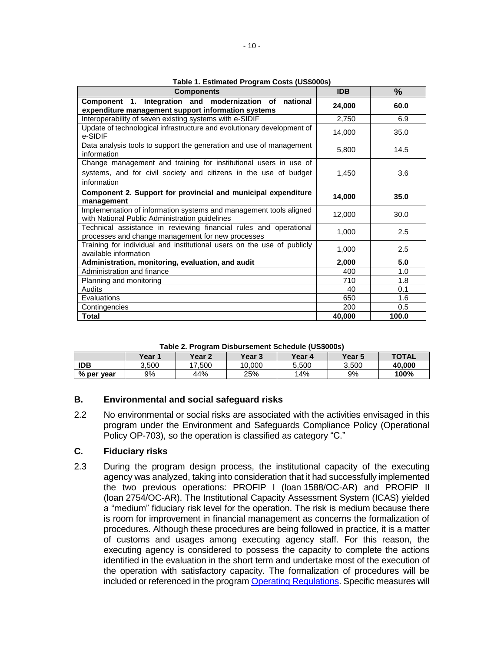| <b>Components</b>                                                                                                      | <b>IDB</b> | $\frac{9}{6}$ |
|------------------------------------------------------------------------------------------------------------------------|------------|---------------|
| Component 1. Integration and modernization of national<br>expenditure management support information systems           | 24,000     | 60.0          |
| Interoperability of seven existing systems with e-SIDIF                                                                | 2,750      | 6.9           |
| Update of technological infrastructure and evolutionary development of<br>e-SIDIF                                      | 14,000     | 35.0          |
| Data analysis tools to support the generation and use of management<br>information                                     | 5,800      | 14.5          |
| Change management and training for institutional users in use of                                                       |            |               |
| systems, and for civil society and citizens in the use of budget                                                       | 1,450      | 3.6           |
| information                                                                                                            |            |               |
| Component 2. Support for provincial and municipal expenditure                                                          | 14,000     | 35.0          |
| management                                                                                                             |            |               |
| Implementation of information systems and management tools aligned                                                     | 12,000     | 30.0          |
| with National Public Administration guidelines                                                                         |            |               |
| Technical assistance in reviewing financial rules and operational<br>processes and change management for new processes | 1,000      | 2.5           |
| Training for individual and institutional users on the use of publicly<br>available information                        | 1,000      | 2.5           |
| Administration, monitoring, evaluation, and audit                                                                      | 2,000      | 5.0           |
| Administration and finance                                                                                             | 400        | 1.0           |
| Planning and monitoring                                                                                                | 710        | 1.8           |
| Audits                                                                                                                 | 40         | 0.1           |
| Evaluations                                                                                                            | 650        | 1.6           |
| Contingencies                                                                                                          | 200        | 0.5           |
| <b>Total</b>                                                                                                           | 40,000     | 100.0         |

**Table 1. Estimated Program Costs (US\$000s)**

| Table 2. Program Disbursement Schedule (US\$000s) |  |  |
|---------------------------------------------------|--|--|
|---------------------------------------------------|--|--|

| , apic L. cq.a Dioparconiciit concaalo (coopoco) |        |               |                   |        |                   |              |
|--------------------------------------------------|--------|---------------|-------------------|--------|-------------------|--------------|
|                                                  | Year 1 | <b>Year 2</b> | Year <sub>3</sub> | Year 4 | Year <sub>5</sub> | <b>TOTAL</b> |
| <b>IDB</b>                                       | 3.500  | 7.500         | 10.000            | 5.500  | 3.500             | 40.000       |
| % per year                                       | 9%     | 44%           | 25%               | 14%    | 9%                | 100%         |

### **B. Environmental and social safeguard risks**

2.2 No environmental or social risks are associated with the activities envisaged in this program under the Environment and Safeguards Compliance Policy (Operational Policy OP-703), so the operation is classified as category "C."

#### **C. Fiduciary risks**

2.3 During the program design process, the institutional capacity of the executing agency was analyzed, taking into consideration that it had successfully implemented the two previous operations: PROFIP I (loan 1588/OC-AR) and PROFIP II (loan 2754/OC-AR). The Institutional Capacity Assessment System (ICAS) yielded a "medium" fiduciary risk level for the operation. The risk is medium because there is room for improvement in financial management as concerns the formalization of procedures. Although these procedures are being followed in practice, it is a matter of customs and usages among executing agency staff. For this reason, the executing agency is considered to possess the capacity to complete the actions identified in the evaluation in the short term and undertake most of the execution of the operation with satisfactory capacity. The formalization of procedures will be included or referenced in the program [Operating Regulations.](http://idbdocs.iadb.org/wsdocs/getDocument.aspx?DOCNUM=EZSHARE-119605780-54) Specific measures will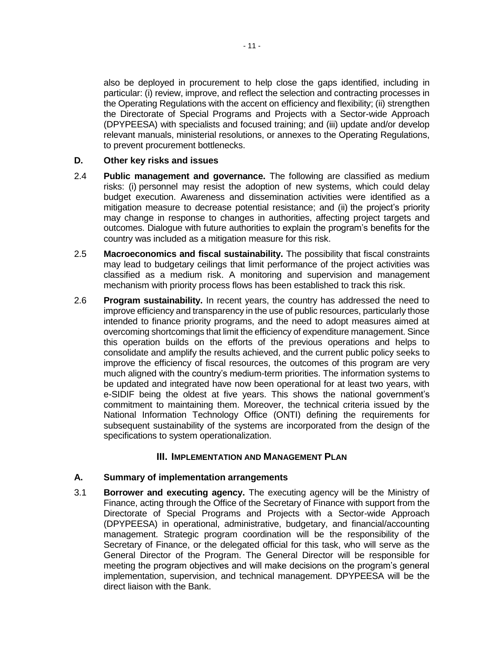also be deployed in procurement to help close the gaps identified, including in particular: (i) review, improve, and reflect the selection and contracting processes in the Operating Regulations with the accent on efficiency and flexibility; (ii) strengthen the Directorate of Special Programs and Projects with a Sector-wide Approach (DPYPEESA) with specialists and focused training; and (iii) update and/or develop relevant manuals, ministerial resolutions, or annexes to the Operating Regulations, to prevent procurement bottlenecks.

### **D. Other key risks and issues**

- 2.4 **Public management and governance.** The following are classified as medium risks: (i) personnel may resist the adoption of new systems, which could delay budget execution. Awareness and dissemination activities were identified as a mitigation measure to decrease potential resistance; and (ii) the project's priority may change in response to changes in authorities, affecting project targets and outcomes. Dialogue with future authorities to explain the program's benefits for the country was included as a mitigation measure for this risk.
- 2.5 **Macroeconomics and fiscal sustainability.** The possibility that fiscal constraints may lead to budgetary ceilings that limit performance of the project activities was classified as a medium risk. A monitoring and supervision and management mechanism with priority process flows has been established to track this risk.
- 2.6 **Program sustainability.** In recent years, the country has addressed the need to improve efficiency and transparency in the use of public resources, particularly those intended to finance priority programs, and the need to adopt measures aimed at overcoming shortcomings that limit the efficiency of expenditure management. Since this operation builds on the efforts of the previous operations and helps to consolidate and amplify the results achieved, and the current public policy seeks to improve the efficiency of fiscal resources, the outcomes of this program are very much aligned with the country's medium-term priorities. The information systems to be updated and integrated have now been operational for at least two years, with e-SIDIF being the oldest at five years. This shows the national government's commitment to maintaining them. Moreover, the technical criteria issued by the National Information Technology Office (ONTI) defining the requirements for subsequent sustainability of the systems are incorporated from the design of the specifications to system operationalization.

### **III. IMPLEMENTATION AND MANAGEMENT PLAN**

### **A. Summary of implementation arrangements**

3.1 **Borrower and executing agency.** The executing agency will be the Ministry of Finance, acting through the Office of the Secretary of Finance with support from the Directorate of Special Programs and Projects with a Sector-wide Approach (DPYPEESA) in operational, administrative, budgetary, and financial/accounting management. Strategic program coordination will be the responsibility of the Secretary of Finance, or the delegated official for this task, who will serve as the General Director of the Program. The General Director will be responsible for meeting the program objectives and will make decisions on the program's general implementation, supervision, and technical management. DPYPEESA will be the direct liaison with the Bank.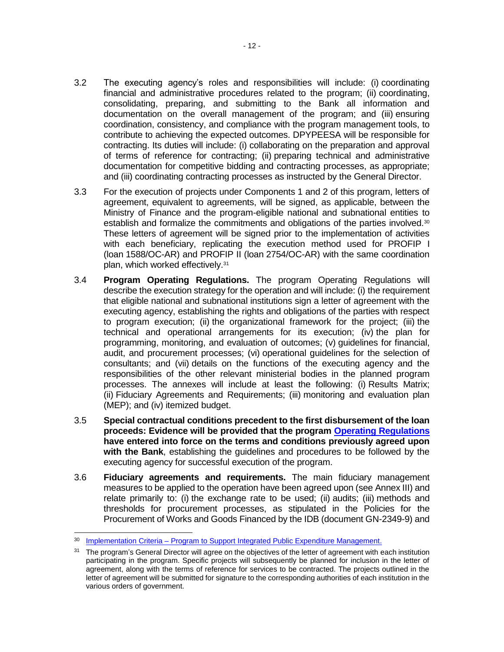- 3.2 The executing agency's roles and responsibilities will include: (i) coordinating financial and administrative procedures related to the program; (ii) coordinating, consolidating, preparing, and submitting to the Bank all information and documentation on the overall management of the program; and (iii) ensuring coordination, consistency, and compliance with the program management tools, to contribute to achieving the expected outcomes. DPYPEESA will be responsible for contracting. Its duties will include: (i) collaborating on the preparation and approval of terms of reference for contracting; (ii) preparing technical and administrative documentation for competitive bidding and contracting processes, as appropriate; and (iii) coordinating contracting processes as instructed by the General Director.
- 3.3 For the execution of projects under Components 1 and 2 of this program, letters of agreement, equivalent to agreements, will be signed, as applicable, between the Ministry of Finance and the program-eligible national and subnational entities to establish and formalize the commitments and obligations of the parties involved. $30$ These letters of agreement will be signed prior to the implementation of activities with each beneficiary, replicating the execution method used for PROFIP I (loan 1588/OC-AR) and PROFIP II (loan 2754/OC-AR) with the same coordination plan, which worked effectively.<sup>31</sup>
- 3.4 **Program Operating Regulations.** The program Operating Regulations will describe the execution strategy for the operation and will include: (i) the requirement that eligible national and subnational institutions sign a letter of agreement with the executing agency, establishing the rights and obligations of the parties with respect to program execution; (ii) the organizational framework for the project; (iii) the technical and operational arrangements for its execution; (iv) the plan for programming, monitoring, and evaluation of outcomes; (v) guidelines for financial, audit, and procurement processes; (vi) operational guidelines for the selection of consultants; and (vii) details on the functions of the executing agency and the responsibilities of the other relevant ministerial bodies in the planned program processes. The annexes will include at least the following: (i) Results Matrix; (ii) Fiduciary Agreements and Requirements; (iii) monitoring and evaluation plan (MEP); and (iv) itemized budget.
- 3.5 **Special contractual conditions precedent to the first disbursement of the loan proceeds: Evidence will be provided that the program [Operating Regulations](http://idbdocs.iadb.org/wsdocs/getDocument.aspx?DOCNUM=EZSHARE-119605780-54) have entered into force on the terms and conditions previously agreed upon with the Bank**, establishing the guidelines and procedures to be followed by the executing agency for successful execution of the program.
- 3.6 **Fiduciary agreements and requirements.** The main fiduciary management measures to be applied to the operation have been agreed upon (see Annex III) and relate primarily to: (i) the exchange rate to be used; (ii) audits; (iii) methods and thresholds for procurement processes, as stipulated in the Policies for the Procurement of Works and Goods Financed by the IDB (document GN-2349-9) and

<sup>&</sup>lt;sup>30</sup> Implementation Criteria – [Program to Support Integrated Public Expenditure Management.](http://idbdocs.iadb.org/wsdocs/getDocument.aspx?DOCNUM=EZSHARE-119605780-64)

<sup>&</sup>lt;sup>31</sup> The program's General Director will agree on the objectives of the letter of agreement with each institution participating in the program. Specific projects will subsequently be planned for inclusion in the letter of agreement, along with the terms of reference for services to be contracted. The projects outlined in the letter of agreement will be submitted for signature to the corresponding authorities of each institution in the various orders of government.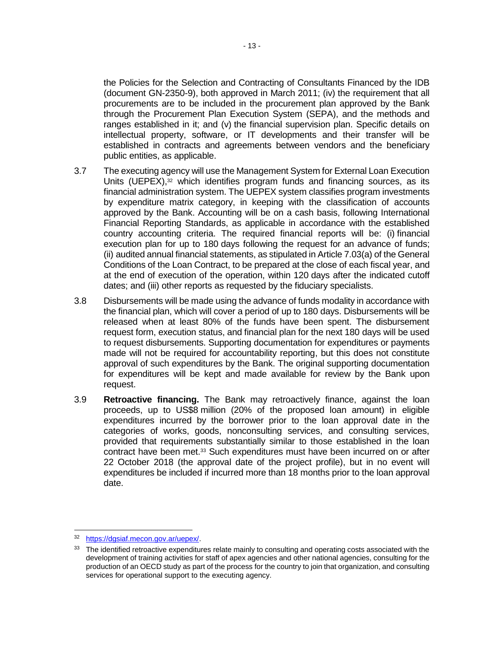the Policies for the Selection and Contracting of Consultants Financed by the IDB (document GN-2350-9), both approved in March 2011; (iv) the requirement that all procurements are to be included in the procurement plan approved by the Bank through the Procurement Plan Execution System (SEPA), and the methods and ranges established in it; and (v) the financial supervision plan. Specific details on intellectual property, software, or IT developments and their transfer will be established in contracts and agreements between vendors and the beneficiary public entities, as applicable.

- 3.7 The executing agency will use the Management System for External Loan Execution Units (UEPEX), <sup>32</sup> which identifies program funds and financing sources, as its financial administration system. The UEPEX system classifies program investments by expenditure matrix category, in keeping with the classification of accounts approved by the Bank. Accounting will be on a cash basis, following International Financial Reporting Standards, as applicable in accordance with the established country accounting criteria. The required financial reports will be: (i) financial execution plan for up to 180 days following the request for an advance of funds; (ii) audited annual financial statements, as stipulated in Article 7.03(a) of the General Conditions of the Loan Contract, to be prepared at the close of each fiscal year, and at the end of execution of the operation, within 120 days after the indicated cutoff dates; and (iii) other reports as requested by the fiduciary specialists.
- 3.8 Disbursements will be made using the advance of funds modality in accordance with the financial plan, which will cover a period of up to 180 days. Disbursements will be released when at least 80% of the funds have been spent. The disbursement request form, execution status, and financial plan for the next 180 days will be used to request disbursements. Supporting documentation for expenditures or payments made will not be required for accountability reporting, but this does not constitute approval of such expenditures by the Bank. The original supporting documentation for expenditures will be kept and made available for review by the Bank upon request.
- 3.9 **Retroactive financing.** The Bank may retroactively finance, against the loan proceeds, up to US\$8 million (20% of the proposed loan amount) in eligible expenditures incurred by the borrower prior to the loan approval date in the categories of works, goods, nonconsulting services, and consulting services, provided that requirements substantially similar to those established in the loan contract have been met.<sup>33</sup> Such expenditures must have been incurred on or after 22 October 2018 (the approval date of the project profile), but in no event will expenditures be included if incurred more than 18 months prior to the loan approval date.

<sup>32</sup> [https://dgsiaf.mecon.gov.ar/uepex/.](https://dgsiaf.mecon.gov.ar/uepex/)

<sup>&</sup>lt;sup>33</sup> The identified retroactive expenditures relate mainly to consulting and operating costs associated with the development of training activities for staff of apex agencies and other national agencies, consulting for the production of an OECD study as part of the process for the country to join that organization, and consulting services for operational support to the executing agency.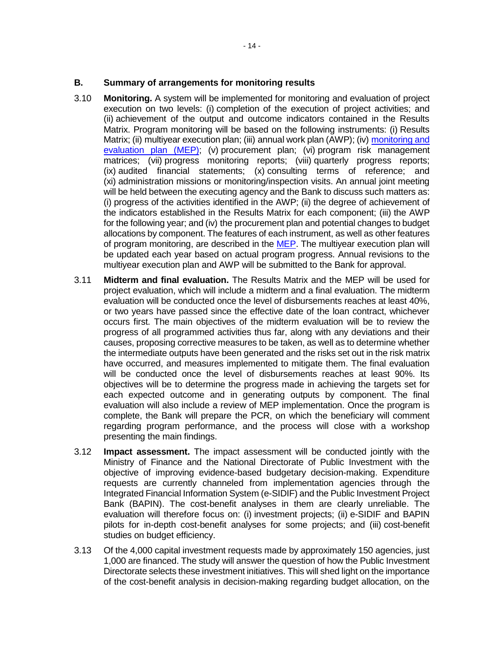- 3.10 **Monitoring.** A system will be implemented for monitoring and evaluation of project execution on two levels: (i) completion of the execution of project activities; and (ii) achievement of the output and outcome indicators contained in the Results Matrix. Program monitoring will be based on the following instruments: (i) Results Matrix; (ii) multiyear execution plan; (iii) annual work plan (AWP); (iv) [monitoring and](http://idbdocs.iadb.org/wsdocs/getDocument.aspx?DOCNUM=40111948)  [evaluation plan \(MEP\)](http://idbdocs.iadb.org/wsdocs/getDocument.aspx?DOCNUM=40111948); (v) procurement plan; (vi) program risk management matrices; (vii) progress monitoring reports; (viii) quarterly progress reports; (ix) audited financial statements; (x) consulting terms of reference; and (xi) administration missions or monitoring/inspection visits. An annual joint meeting will be held between the executing agency and the Bank to discuss such matters as: (i) progress of the activities identified in the AWP; (ii) the degree of achievement of the indicators established in the Results Matrix for each component; (iii) the AWP for the following year; and (iv) the procurement plan and potential changes to budget allocations by component. The features of each instrument, as well as other features of program monitoring, are described in the [MEP.](http://idbdocs.iadb.org/wsdocs/getDocument.aspx?DOCNUM=EZSHARE-119605780-38) The multiyear execution plan will be updated each year based on actual program progress. Annual revisions to the multiyear execution plan and AWP will be submitted to the Bank for approval.
- 3.11 **Midterm and final evaluation.** The Results Matrix and the MEP will be used for project evaluation, which will include a midterm and a final evaluation. The midterm evaluation will be conducted once the level of disbursements reaches at least 40%, or two years have passed since the effective date of the loan contract, whichever occurs first. The main objectives of the midterm evaluation will be to review the progress of all programmed activities thus far, along with any deviations and their causes, proposing corrective measures to be taken, as well as to determine whether the intermediate outputs have been generated and the risks set out in the risk matrix have occurred, and measures implemented to mitigate them. The final evaluation will be conducted once the level of disbursements reaches at least 90%. Its objectives will be to determine the progress made in achieving the targets set for each expected outcome and in generating outputs by component. The final evaluation will also include a review of MEP implementation. Once the program is complete, the Bank will prepare the PCR, on which the beneficiary will comment regarding program performance, and the process will close with a workshop presenting the main findings.
- 3.12 **Impact assessment.** The impact assessment will be conducted jointly with the Ministry of Finance and the National Directorate of Public Investment with the objective of improving evidence-based budgetary decision-making. Expenditure requests are currently channeled from implementation agencies through the Integrated Financial Information System (e-SIDIF) and the Public Investment Project Bank (BAPIN). The cost-benefit analyses in them are clearly unreliable. The evaluation will therefore focus on: (i) investment projects; (ii) e-SIDIF and BAPIN pilots for in-depth cost-benefit analyses for some projects; and (iii) cost-benefit studies on budget efficiency.
- 3.13 Of the 4,000 capital investment requests made by approximately 150 agencies, just 1,000 are financed. The study will answer the question of how the Public Investment Directorate selects these investment initiatives. This will shed light on the importance of the cost-benefit analysis in decision-making regarding budget allocation, on the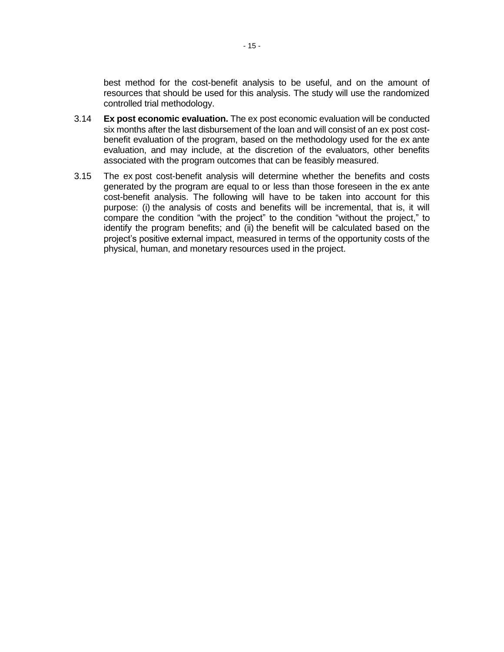best method for the cost-benefit analysis to be useful, and on the amount of resources that should be used for this analysis. The study will use the randomized controlled trial methodology.

- 3.14 **Ex post economic evaluation.** The ex post economic evaluation will be conducted six months after the last disbursement of the loan and will consist of an ex post costbenefit evaluation of the program, based on the methodology used for the ex ante evaluation, and may include, at the discretion of the evaluators, other benefits associated with the program outcomes that can be feasibly measured.
- 3.15 The ex post cost-benefit analysis will determine whether the benefits and costs generated by the program are equal to or less than those foreseen in the ex ante cost-benefit analysis. The following will have to be taken into account for this purpose: (i) the analysis of costs and benefits will be incremental, that is, it will compare the condition "with the project" to the condition "without the project," to identify the program benefits; and (ii) the benefit will be calculated based on the project's positive external impact, measured in terms of the opportunity costs of the physical, human, and monetary resources used in the project.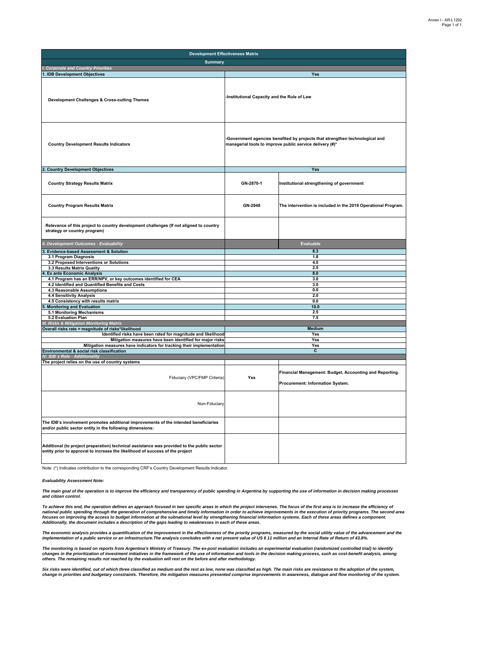| <b>Development Effectiveness Matrix</b>                                                                                                                                     |                                                                                                                                          |                                                                                             |
|-----------------------------------------------------------------------------------------------------------------------------------------------------------------------------|------------------------------------------------------------------------------------------------------------------------------------------|---------------------------------------------------------------------------------------------|
| <b>Summary</b>                                                                                                                                                              |                                                                                                                                          |                                                                                             |
| I. Corporate and Country Priorities                                                                                                                                         |                                                                                                                                          |                                                                                             |
| 1. IDB Development Objectives                                                                                                                                               |                                                                                                                                          | Yes                                                                                         |
| Development Challenges & Cross-cutting Themes                                                                                                                               | -Institutional Capacity and the Rule of Law                                                                                              |                                                                                             |
| <b>Country Development Results Indicators</b>                                                                                                                               | -Government agencies benefited by projects that strengthen technological and<br>managerial tools to improve public service delivery (#)* |                                                                                             |
| 2. Country Development Objectives                                                                                                                                           |                                                                                                                                          | Yes                                                                                         |
| <b>Country Strategy Results Matrix</b>                                                                                                                                      | GN-2870-1                                                                                                                                | Institutional strengthening of government                                                   |
| <b>Country Program Results Matrix</b>                                                                                                                                       | GN-2948                                                                                                                                  | The intervention is included in the 2019 Operational Program.                               |
| Relevance of this project to country development challenges (If not aligned to country<br>strategy or country program)                                                      |                                                                                                                                          |                                                                                             |
| II. Development Outcomes - Evaluability                                                                                                                                     |                                                                                                                                          | Evaluable                                                                                   |
| Evidence-based Assessment & Solution<br>3.                                                                                                                                  |                                                                                                                                          | 8.3                                                                                         |
| 3.1 Program Diagnosis                                                                                                                                                       |                                                                                                                                          | 1.8                                                                                         |
| 3.2 Proposed Interventions or Solutions<br>3.3 Results Matrix Quality                                                                                                       |                                                                                                                                          | 4.0<br>2.5                                                                                  |
| <b>Ex ante Economic Analysis</b>                                                                                                                                            |                                                                                                                                          | 8.0                                                                                         |
| 4.1 Program has an ERR/NPV, or key outcomes identified for CEA                                                                                                              |                                                                                                                                          | 3.0                                                                                         |
| 4.2 Identified and Quantified Benefits and Costs                                                                                                                            |                                                                                                                                          | 3.0                                                                                         |
| 4.3 Reasonable Assumptions                                                                                                                                                  |                                                                                                                                          | 0.0                                                                                         |
| 4.4 Sensitivity Analysis                                                                                                                                                    |                                                                                                                                          | 2.0                                                                                         |
| 4.5 Consistency with results matrix<br><b>Monitoring and Evaluation</b>                                                                                                     |                                                                                                                                          | 0.0<br>10.0                                                                                 |
| 5.1 Monitoring Mechanisms                                                                                                                                                   |                                                                                                                                          | 2.5                                                                                         |
| 5.2 Evaluation Plan                                                                                                                                                         |                                                                                                                                          | 7.5                                                                                         |
| III. Risks & Mitigation Monitoring Matrix                                                                                                                                   |                                                                                                                                          |                                                                                             |
| Overall risks rate = magnitude of risks*likelihood                                                                                                                          |                                                                                                                                          | Medium                                                                                      |
| Identified risks have been rated for magnitude and likelihood<br>Mitigation measures have been identified for major risks                                                   |                                                                                                                                          | Yes<br>Yes                                                                                  |
| Mitigation measures have indicators for tracking their implementation                                                                                                       |                                                                                                                                          | Yes                                                                                         |
| Environmental & social risk classification                                                                                                                                  |                                                                                                                                          | c                                                                                           |
| IV. IDB's Role - Additionality                                                                                                                                              |                                                                                                                                          |                                                                                             |
| The project relies on the use of country systems<br>Fiduciary (VPC/FMP Criteria)                                                                                            | Yes                                                                                                                                      | Financial Management: Budget, Accounting and Reporting.<br>Procurement: Information System. |
| Non-Fiduciary                                                                                                                                                               |                                                                                                                                          |                                                                                             |
| The IDB's involvement promotes additional improvements of the intended beneficiaries<br>and/or public sector entity in the following dimensions:                            |                                                                                                                                          |                                                                                             |
| Additional (to project preparation) technical assistance was provided to the public sector<br>entity prior to approval to increase the likelihood of success of the project |                                                                                                                                          |                                                                                             |

Note: (\*) Indicates contribution to the corresponding CRF's Country Development Results Indicator.

#### *Evaluability Assessment Note:*

*The main goal of the operation is to improve the efficiency and transparency of public spending in Argentina by supporting the use of information in decision making processes and citizen control.* 

To achieve this end, the operation defines an approach focused in two specific areas in which the project intervenes. The focus of the first area is to increase the efficiency of national public spending through the generation of comprehensive and timely information in order to achieve improvements in the execution of priority programs. The second area<br>focuses on improving the access to budget info *Additionally, the document includes a description of the gaps leading to weaknesses in each of these areas.*

The economic analysis provides a quantification of the improvement in the effectiveness of the priority programs, measured by the social utility value of the advancement and the<br>implementation of a public service or an inf

The monitoring is based on reports from Argentina's Ministry of Treasury. The ex-post evaluation includes an experimental evaluation (randomized controlled trial) to identify<br>changes in the prioritization of investment ini

Six risks were identified, out of which three classified as medium and the rest as low, none was classified as high. The main risks are resistance to the adoption of the system,<br>change in priorities and budgetary constrain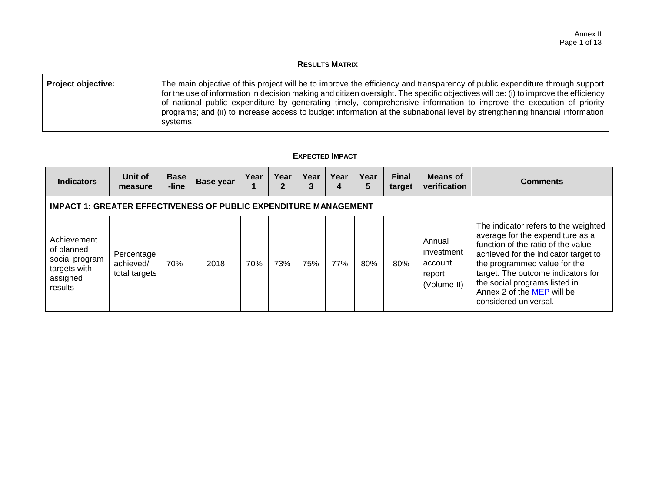### **RESULTS MATRIX**

| <b>Project objective:</b> | The main objective of this project will be to improve the efficiency and transparency of public expenditure through support<br>for the use of information in decision making and citizen oversight. The specific objectives will be: (i) to improve the efficiency<br>of national public expenditure by generating timely, comprehensive information to improve the execution of priority<br>programs; and (ii) to increase access to budget information at the subnational level by strengthening financial information<br>systems. |
|---------------------------|--------------------------------------------------------------------------------------------------------------------------------------------------------------------------------------------------------------------------------------------------------------------------------------------------------------------------------------------------------------------------------------------------------------------------------------------------------------------------------------------------------------------------------------|
|---------------------------|--------------------------------------------------------------------------------------------------------------------------------------------------------------------------------------------------------------------------------------------------------------------------------------------------------------------------------------------------------------------------------------------------------------------------------------------------------------------------------------------------------------------------------------|

### **EXPECTED IMPACT**

| <b>Indicators</b>                                                                  | Unit of<br>measure                       | <b>Base</b><br>-line | <b>Base year</b> | Year | Year | Year<br>3 | Year<br>4 | Year<br>5 | <b>Final</b><br>target | <b>Means of</b><br>verification                          | <b>Comments</b>                                                                                                                                                                                                                                                                                                      |
|------------------------------------------------------------------------------------|------------------------------------------|----------------------|------------------|------|------|-----------|-----------|-----------|------------------------|----------------------------------------------------------|----------------------------------------------------------------------------------------------------------------------------------------------------------------------------------------------------------------------------------------------------------------------------------------------------------------------|
| <b>IMPACT 1: GREATER EFFECTIVENESS OF PUBLIC EXPENDITURE MANAGEMENT</b>            |                                          |                      |                  |      |      |           |           |           |                        |                                                          |                                                                                                                                                                                                                                                                                                                      |
| Achievement<br>of planned<br>social program<br>targets with<br>assigned<br>results | Percentage<br>achieved/<br>total targets | 70%                  | 2018             | 70%  | 73%  | 75%       | 77%       | 80%       | 80%                    | Annual<br>investment<br>account<br>report<br>(Volume II) | The indicator refers to the weighted<br>average for the expenditure as a<br>function of the ratio of the value<br>achieved for the indicator target to<br>the programmed value for the<br>target. The outcome indicators for<br>the social programs listed in<br>Annex 2 of the MEP will be<br>considered universal. |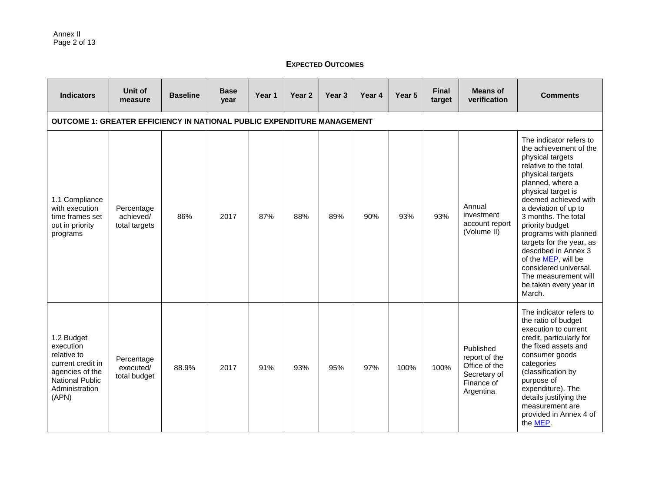### **EXPECTED OUTCOMES**

| <b>Indicators</b>                                                                                                                   | Unit of<br>measure                       | <b>Baseline</b> | <b>Base</b><br>year | Year 1 | Year <sub>2</sub> | Year 3 | Year 4 | Year 5 | <b>Final</b><br>target | <b>Means of</b><br>verification                                                        | <b>Comments</b>                                                                                                                                                                                                                                                                                                                                                                                                                                 |
|-------------------------------------------------------------------------------------------------------------------------------------|------------------------------------------|-----------------|---------------------|--------|-------------------|--------|--------|--------|------------------------|----------------------------------------------------------------------------------------|-------------------------------------------------------------------------------------------------------------------------------------------------------------------------------------------------------------------------------------------------------------------------------------------------------------------------------------------------------------------------------------------------------------------------------------------------|
| <b>OUTCOME 1: GREATER EFFICIENCY IN NATIONAL PUBLIC EXPENDITURE MANAGEMENT</b>                                                      |                                          |                 |                     |        |                   |        |        |        |                        |                                                                                        |                                                                                                                                                                                                                                                                                                                                                                                                                                                 |
| 1.1 Compliance<br>with execution<br>time frames set<br>out in priority<br>programs                                                  | Percentage<br>achieved/<br>total targets | 86%             | 2017                | 87%    | 88%               | 89%    | 90%    | 93%    | 93%                    | Annual<br>investment<br>account report<br>(Volume II)                                  | The indicator refers to<br>the achievement of the<br>physical targets<br>relative to the total<br>physical targets<br>planned, where a<br>physical target is<br>deemed achieved with<br>a deviation of up to<br>3 months. The total<br>priority budget<br>programs with planned<br>targets for the year, as<br>described in Annex 3<br>of the MEP, will be<br>considered universal.<br>The measurement will<br>be taken every year in<br>March. |
| 1.2 Budget<br>execution<br>relative to<br>current credit in<br>agencies of the<br><b>National Public</b><br>Administration<br>(APN) | Percentage<br>executed/<br>total budget  | 88.9%           | 2017                | 91%    | 93%               | 95%    | 97%    | 100%   | 100%                   | Published<br>report of the<br>Office of the<br>Secretary of<br>Finance of<br>Argentina | The indicator refers to<br>the ratio of budget<br>execution to current<br>credit, particularly for<br>the fixed assets and<br>consumer goods<br>categories<br>(classification by<br>purpose of<br>expenditure). The<br>details justifying the<br>measurement are<br>provided in Annex 4 of<br>the MEP.                                                                                                                                          |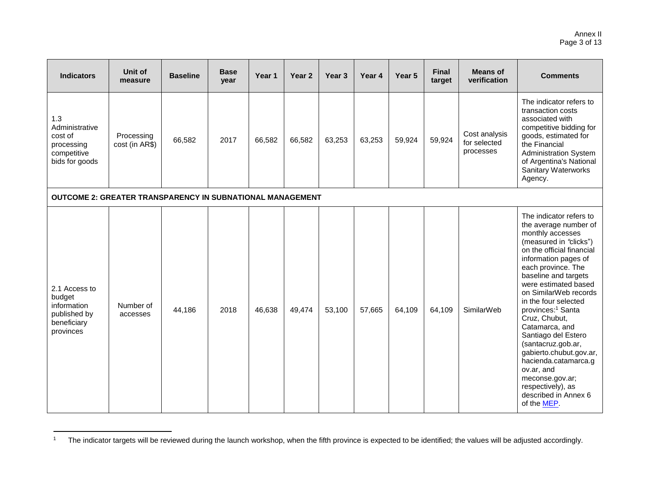#### Annex II Page 3 of 13

| <b>Indicators</b>                                                                  | Unit of<br>measure           | <b>Baseline</b> | <b>Base</b><br>year | Year 1 | Year <sub>2</sub> | Year <sub>3</sub> | Year 4 | Year 5 | <b>Final</b><br>target | <b>Means of</b><br>verification            | <b>Comments</b>                                                                                                                                                                                                                                                                                                                                                                                                                                                                                                                                     |
|------------------------------------------------------------------------------------|------------------------------|-----------------|---------------------|--------|-------------------|-------------------|--------|--------|------------------------|--------------------------------------------|-----------------------------------------------------------------------------------------------------------------------------------------------------------------------------------------------------------------------------------------------------------------------------------------------------------------------------------------------------------------------------------------------------------------------------------------------------------------------------------------------------------------------------------------------------|
| 1.3<br>Administrative<br>cost of<br>processing<br>competitive<br>bids for goods    | Processing<br>cost (in AR\$) | 66,582          | 2017                | 66,582 | 66,582            | 63,253            | 63,253 | 59,924 | 59,924                 | Cost analysis<br>for selected<br>processes | The indicator refers to<br>transaction costs<br>associated with<br>competitive bidding for<br>goods, estimated for<br>the Financial<br><b>Administration System</b><br>of Argentina's National<br><b>Sanitary Waterworks</b><br>Agency.                                                                                                                                                                                                                                                                                                             |
| <b>OUTCOME 2: GREATER TRANSPARENCY IN SUBNATIONAL MANAGEMENT</b>                   |                              |                 |                     |        |                   |                   |        |        |                        |                                            |                                                                                                                                                                                                                                                                                                                                                                                                                                                                                                                                                     |
| 2.1 Access to<br>budget<br>information<br>published by<br>beneficiary<br>provinces | Number of<br>accesses        | 44,186          | 2018                | 46,638 | 49,474            | 53,100            | 57,665 | 64,109 | 64,109                 | SimilarWeb                                 | The indicator refers to<br>the average number of<br>monthly accesses<br>(measured in "clicks")<br>on the official financial<br>information pages of<br>each province. The<br>baseline and targets<br>were estimated based<br>on SimilarWeb records<br>in the four selected<br>provinces: <sup>1</sup> Santa<br>Cruz, Chubut,<br>Catamarca, and<br>Santiago del Estero<br>(santacruz.gob.ar,<br>gabierto.chubut.gov.ar,<br>hacienda.catamarca.g<br>ov.ar, and<br>meconse.gov.ar;<br>respectively), as<br>described in Annex 6<br>of the <b>MEP</b> . |

 $\mathbf{1}$ The indicator targets will be reviewed during the launch workshop, when the fifth province is expected to be identified; the values will be adjusted accordingly.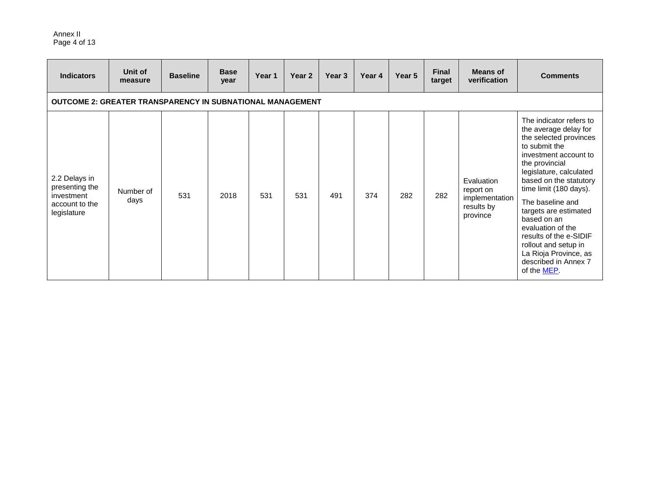#### Annex II Page 4 of 13

| <b>Indicators</b>                                                              | Unit of<br>measure | <b>Baseline</b> | <b>Base</b><br>year | Year 1 | Year 2 | Year 3 | Year 4 | Year 5 | <b>Final</b><br>target | <b>Means of</b><br>verification                                     | <b>Comments</b>                                                                                                                                                                                                                                                                                                                                                                                                                  |
|--------------------------------------------------------------------------------|--------------------|-----------------|---------------------|--------|--------|--------|--------|--------|------------------------|---------------------------------------------------------------------|----------------------------------------------------------------------------------------------------------------------------------------------------------------------------------------------------------------------------------------------------------------------------------------------------------------------------------------------------------------------------------------------------------------------------------|
| <b>OUTCOME 2: GREATER TRANSPARENCY IN SUBNATIONAL MANAGEMENT</b>               |                    |                 |                     |        |        |        |        |        |                        |                                                                     |                                                                                                                                                                                                                                                                                                                                                                                                                                  |
| 2.2 Delays in<br>presenting the<br>investment<br>account to the<br>legislature | Number of<br>days  | 531             | 2018                | 531    | 531    | 491    | 374    | 282    | 282                    | Evaluation<br>report on<br>implementation<br>results by<br>province | The indicator refers to<br>the average delay for<br>the selected provinces<br>to submit the<br>investment account to<br>the provincial<br>legislature, calculated<br>based on the statutory<br>time limit (180 days).<br>The baseline and<br>targets are estimated<br>based on an<br>evaluation of the<br>results of the e-SIDIF<br>rollout and setup in<br>La Rioja Province, as<br>described in Annex 7<br>of the <b>MEP</b> . |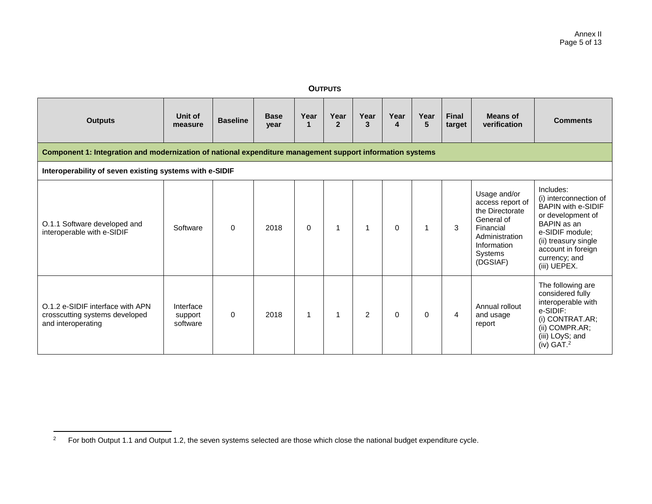#### **OUTPUTS**

| <b>Outputs</b>                                                                                            | Unit of<br>measure               | <b>Baseline</b> | <b>Base</b><br>year | Year<br>1   | Year<br>$\overline{2}$ | Year<br>3 | Year<br>4 | Year<br>5 | Final<br>target | <b>Means of</b><br>verification                                                                                                        | <b>Comments</b>                                                                                                                                                                                        |  |
|-----------------------------------------------------------------------------------------------------------|----------------------------------|-----------------|---------------------|-------------|------------------------|-----------|-----------|-----------|-----------------|----------------------------------------------------------------------------------------------------------------------------------------|--------------------------------------------------------------------------------------------------------------------------------------------------------------------------------------------------------|--|
| Component 1: Integration and modernization of national expenditure management support information systems |                                  |                 |                     |             |                        |           |           |           |                 |                                                                                                                                        |                                                                                                                                                                                                        |  |
| Interoperability of seven existing systems with e-SIDIF                                                   |                                  |                 |                     |             |                        |           |           |           |                 |                                                                                                                                        |                                                                                                                                                                                                        |  |
| O.1.1 Software developed and<br>interoperable with e-SIDIF                                                | Software                         | $\mathbf{0}$    | 2018                | $\mathbf 0$ | 1                      |           | $\Omega$  | 1         | 3               | Usage and/or<br>access report of<br>the Directorate<br>General of<br>Financial<br>Administration<br>Information<br>Systems<br>(DGSIAF) | Includes:<br>(i) interconnection of<br><b>BAPIN with e-SIDIF</b><br>or development of<br>BAPIN as an<br>e-SIDIF module;<br>(ii) treasury single<br>account in foreign<br>currency; and<br>(iii) UEPEX. |  |
| O.1.2 e-SIDIF interface with APN<br>crosscutting systems developed<br>and interoperating                  | Interface<br>support<br>software | $\mathbf 0$     | 2018                | 1           | 1                      | 2         | $\Omega$  | $\Omega$  | $\overline{4}$  | Annual rollout<br>and usage<br>report                                                                                                  | The following are<br>considered fully<br>interoperable with<br>e-SIDIF:<br>(i) CONTRAT.AR;<br>(ii) COMPR.AR;<br>(iii) LOyS; and<br>$(iv)$ GAT. <sup>2</sup>                                            |  |

 $\overline{2}$ <sup>2</sup> For both Output 1.1 and Output 1.2, the seven systems selected are those which close the national budget expenditure cycle.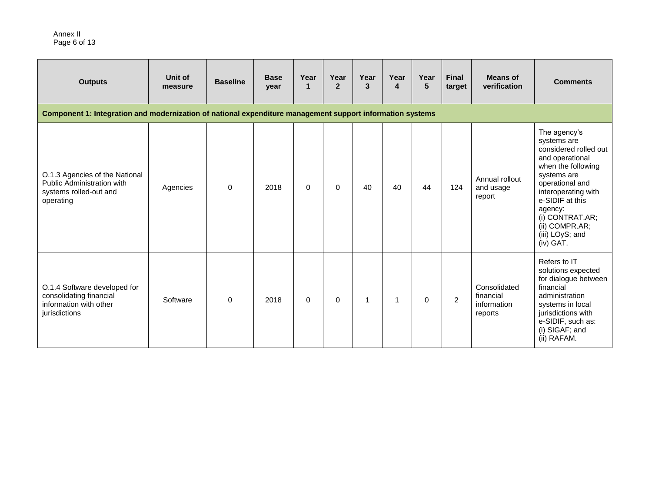#### Annex II Page 6 of 13

| <b>Outputs</b>                                                                                            | Unit of<br>measure | <b>Baseline</b> | <b>Base</b><br>year | Year<br>$\mathbf 1$ | Year<br>$\overline{2}$ | Year<br>3 | Year<br>$\overline{\mathbf{A}}$ | Year<br>5 | <b>Final</b><br>target | <b>Means of</b><br>verification                     | <b>Comments</b>                                                                                                                                                                                                                                             |
|-----------------------------------------------------------------------------------------------------------|--------------------|-----------------|---------------------|---------------------|------------------------|-----------|---------------------------------|-----------|------------------------|-----------------------------------------------------|-------------------------------------------------------------------------------------------------------------------------------------------------------------------------------------------------------------------------------------------------------------|
| Component 1: Integration and modernization of national expenditure management support information systems |                    |                 |                     |                     |                        |           |                                 |           |                        |                                                     |                                                                                                                                                                                                                                                             |
| O.1.3 Agencies of the National<br>Public Administration with<br>systems rolled-out and<br>operating       | Agencies           | $\Omega$        | 2018                | $\Omega$            | 0                      | 40        | 40                              | 44        | 124                    | Annual rollout<br>and usage<br>report               | The agency's<br>systems are<br>considered rolled out<br>and operational<br>when the following<br>systems are<br>operational and<br>interoperating with<br>e-SIDIF at this<br>agency:<br>(i) CONTRAT.AR;<br>$(ii)$ COMPR.AR;<br>(iii) LOyS; and<br>(iv) GAT. |
| O.1.4 Software developed for<br>consolidating financial<br>information with other<br>jurisdictions        | Software           | $\Omega$        | 2018                | $\Omega$            | $\Omega$               |           | 1                               | $\Omega$  | 2                      | Consolidated<br>financial<br>information<br>reports | Refers to IT<br>solutions expected<br>for dialogue between<br>financial<br>administration<br>systems in local<br>jurisdictions with<br>e-SIDIF, such as:<br>(i) SIGAF; and<br>(ii) RAFAM.                                                                   |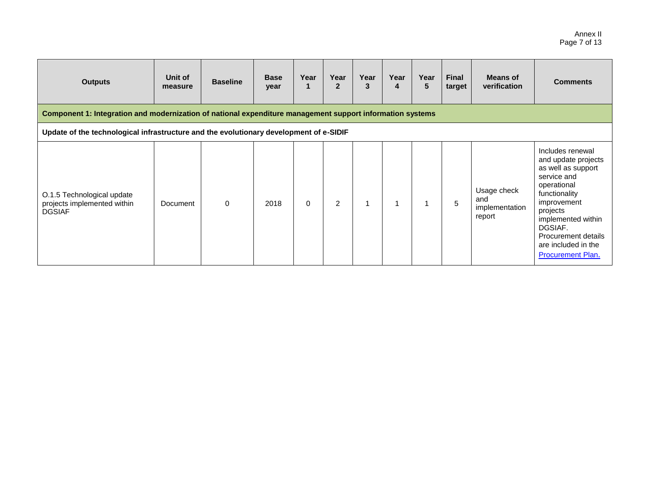#### Annex II Page 7 of 13

| <b>Outputs</b>                                                                                                                                                                                      | Unit of<br>measure | <b>Baseline</b> | <b>Base</b><br>year | Year     | Year<br>$\mathbf{2}$ | Year<br>3 | Year<br>4 | Year<br>5 | <b>Final</b><br>target | <b>Means of</b><br>verification                | <b>Comments</b>                                                                                                                                                                                                                             |  |
|-----------------------------------------------------------------------------------------------------------------------------------------------------------------------------------------------------|--------------------|-----------------|---------------------|----------|----------------------|-----------|-----------|-----------|------------------------|------------------------------------------------|---------------------------------------------------------------------------------------------------------------------------------------------------------------------------------------------------------------------------------------------|--|
|                                                                                                                                                                                                     |                    |                 |                     |          |                      |           |           |           |                        |                                                |                                                                                                                                                                                                                                             |  |
| Component 1: Integration and modernization of national expenditure management support information systems<br>Update of the technological infrastructure and the evolutionary development of e-SIDIF |                    |                 |                     |          |                      |           |           |           |                        |                                                |                                                                                                                                                                                                                                             |  |
| O.1.5 Technological update<br>projects implemented within<br><b>DGSIAF</b>                                                                                                                          | Document           | $\Omega$        | 2018                | $\Omega$ | $\overline{2}$       |           |           |           | 5                      | Usage check<br>and<br>implementation<br>report | Includes renewal<br>and update projects<br>as well as support<br>service and<br>operational<br>functionality<br>improvement<br>projects<br>implemented within<br>DGSIAF.<br>Procurement details<br>are included in the<br>Procurement Plan. |  |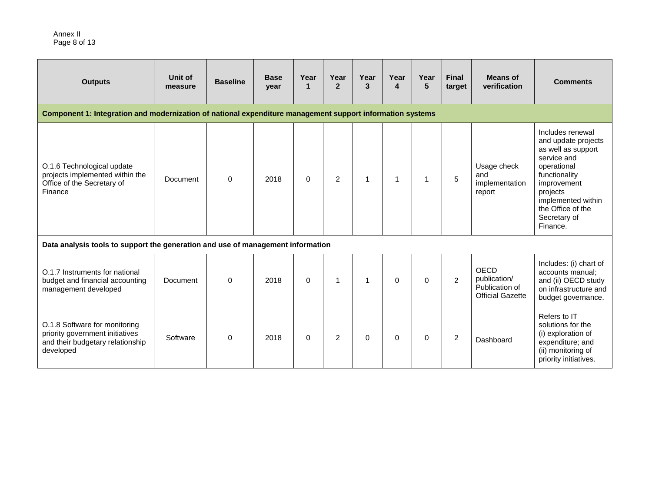| <b>Outputs</b>                                                                                                    | Unit of<br>measure | <b>Baseline</b> | <b>Base</b><br>year | Year<br>$\mathbf{1}$ | Year<br>$\mathbf{p}$ | Year<br>3 | Year<br>4 | Year<br>5 | <b>Final</b><br>target | Means of<br>verification                                          | <b>Comments</b>                                                                                                                                                                                                |
|-------------------------------------------------------------------------------------------------------------------|--------------------|-----------------|---------------------|----------------------|----------------------|-----------|-----------|-----------|------------------------|-------------------------------------------------------------------|----------------------------------------------------------------------------------------------------------------------------------------------------------------------------------------------------------------|
| Component 1: Integration and modernization of national expenditure management support information systems         |                    |                 |                     |                      |                      |           |           |           |                        |                                                                   |                                                                                                                                                                                                                |
| O.1.6 Technological update<br>projects implemented within the<br>Office of the Secretary of<br>Finance            | Document           | $\Omega$        | 2018                | $\Omega$             | $\overline{c}$       |           | 1         | 1         | 5                      | Usage check<br>and<br>implementation<br>report                    | Includes renewal<br>and update projects<br>as well as support<br>service and<br>operational<br>functionality<br>improvement<br>projects<br>implemented within<br>the Office of the<br>Secretary of<br>Finance. |
| Data analysis tools to support the generation and use of management information                                   |                    |                 |                     |                      |                      |           |           |           |                        |                                                                   |                                                                                                                                                                                                                |
| O.1.7 Instruments for national<br>budget and financial accounting<br>management developed                         | Document           | $\Omega$        | 2018                | $\Omega$             | 1                    | 1         | $\Omega$  | $\Omega$  | $\overline{2}$         | OECD<br>publication/<br>Publication of<br><b>Official Gazette</b> | Includes: (i) chart of<br>accounts manual;<br>and (ii) OECD study<br>on infrastructure and<br>budget governance.                                                                                               |
| O.1.8 Software for monitoring<br>priority government initiatives<br>and their budgetary relationship<br>developed | Software           | $\Omega$        | 2018                | $\Omega$             | 2                    | 0         | $\Omega$  | $\Omega$  | 2                      | Dashboard                                                         | Refers to IT<br>solutions for the<br>(i) exploration of<br>expenditure; and<br>(ii) monitoring of<br>priority initiatives.                                                                                     |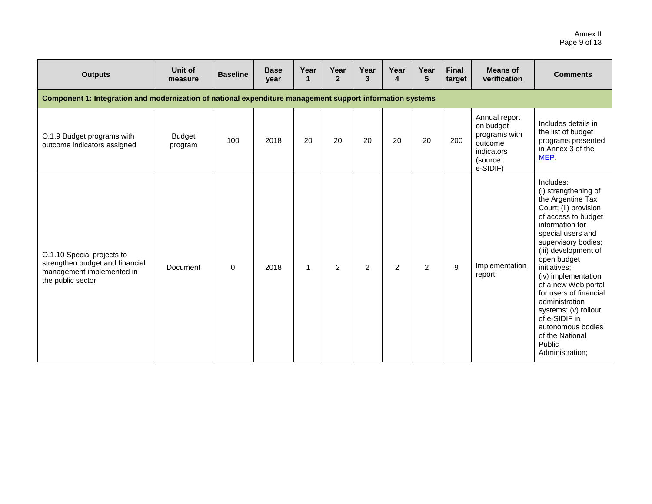#### Annex II Page 9 of 13

| <b>Outputs</b>                                                                                                  | Unit of<br>measure       | <b>Baseline</b> | <b>Base</b><br>year | Year<br>$\mathbf 1$ | Year<br>$\overline{2}$ | Year<br>3      | Year<br>4 | Year<br>5      | <b>Final</b><br>target | <b>Means of</b><br>verification                                                              | <b>Comments</b>                                                                                                                                                                                                                                                                                                                                                                                                                      |  |  |
|-----------------------------------------------------------------------------------------------------------------|--------------------------|-----------------|---------------------|---------------------|------------------------|----------------|-----------|----------------|------------------------|----------------------------------------------------------------------------------------------|--------------------------------------------------------------------------------------------------------------------------------------------------------------------------------------------------------------------------------------------------------------------------------------------------------------------------------------------------------------------------------------------------------------------------------------|--|--|
| Component 1: Integration and modernization of national expenditure management support information systems       |                          |                 |                     |                     |                        |                |           |                |                        |                                                                                              |                                                                                                                                                                                                                                                                                                                                                                                                                                      |  |  |
| O.1.9 Budget programs with<br>outcome indicators assigned                                                       | <b>Budget</b><br>program | 100             | 2018                | 20                  | 20                     | 20             | 20        | 20             | 200                    | Annual report<br>on budget<br>programs with<br>outcome<br>indicators<br>(source:<br>e-SIDIF) | Includes details in<br>the list of budget<br>programs presented<br>in Annex 3 of the<br>MEP.                                                                                                                                                                                                                                                                                                                                         |  |  |
| O.1.10 Special projects to<br>strengthen budget and financial<br>management implemented in<br>the public sector | Document                 | $\mathbf 0$     | 2018                | 1                   | 2                      | $\overline{2}$ | 2         | $\overline{c}$ | 9                      | Implementation<br>report                                                                     | Includes:<br>(i) strengthening of<br>the Argentine Tax<br>Court; (ii) provision<br>of access to budget<br>information for<br>special users and<br>supervisory bodies;<br>(iii) development of<br>open budget<br>initiatives;<br>(iv) implementation<br>of a new Web portal<br>for users of financial<br>administration<br>systems; (v) rollout<br>of e-SIDIF in<br>autonomous bodies<br>of the National<br>Public<br>Administration; |  |  |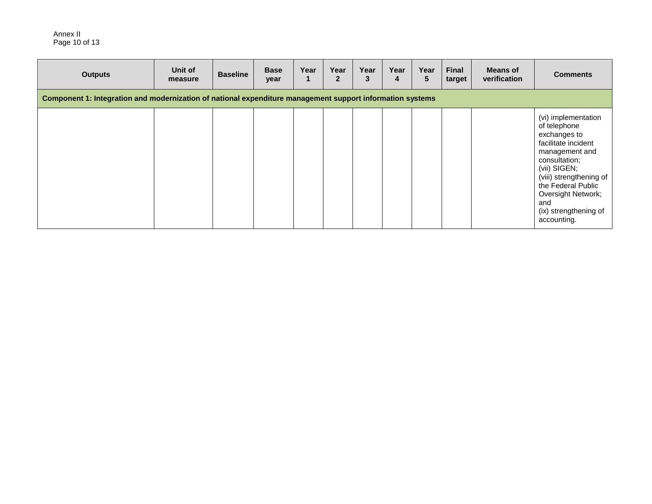Annex II Page 10 of 13

| <b>Outputs</b>                                                                                            | Unit of<br>measure | <b>Baseline</b> | <b>Base</b><br>year | Year | Year<br>$\mathbf{2}$ | Year<br>3 | Year<br>4 | Year<br>5 | <b>Final</b><br>target | <b>Means of</b><br>verification | <b>Comments</b>                                                                                                                                                                                                                                     |  |  |
|-----------------------------------------------------------------------------------------------------------|--------------------|-----------------|---------------------|------|----------------------|-----------|-----------|-----------|------------------------|---------------------------------|-----------------------------------------------------------------------------------------------------------------------------------------------------------------------------------------------------------------------------------------------------|--|--|
| Component 1: Integration and modernization of national expenditure management support information systems |                    |                 |                     |      |                      |           |           |           |                        |                                 |                                                                                                                                                                                                                                                     |  |  |
|                                                                                                           |                    |                 |                     |      |                      |           |           |           |                        |                                 | (vi) implementation<br>of telephone<br>exchanges to<br>facilitate incident<br>management and<br>consultation;<br>(vii) SIGEN;<br>(viii) strengthening of<br>the Federal Public<br>Oversight Network;<br>and<br>(ix) strengthening of<br>accounting. |  |  |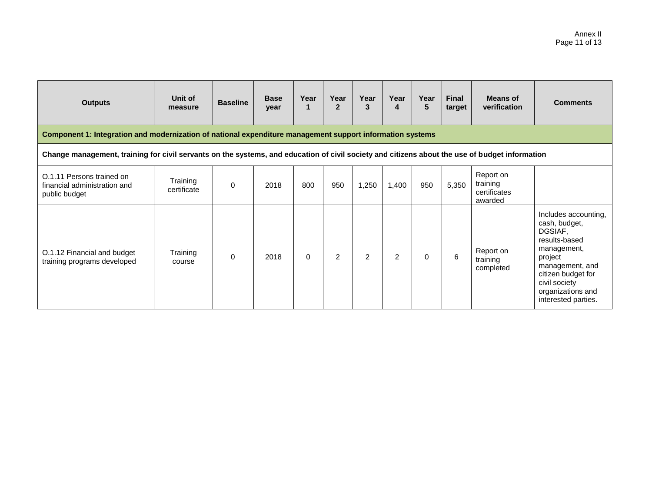| <b>Outputs</b>                                                                                                                                 | Unit of<br>measure      | <b>Baseline</b> | <b>Base</b><br>year | Year<br>1 | Year<br>$\mathbf{2}$ | Year<br>3 | Year<br>4      | Year<br>5 | <b>Final</b><br>target | <b>Means of</b><br>verification                  | <b>Comments</b>                                                                                                                                                                                   |  |
|------------------------------------------------------------------------------------------------------------------------------------------------|-------------------------|-----------------|---------------------|-----------|----------------------|-----------|----------------|-----------|------------------------|--------------------------------------------------|---------------------------------------------------------------------------------------------------------------------------------------------------------------------------------------------------|--|
| Component 1: Integration and modernization of national expenditure management support information systems                                      |                         |                 |                     |           |                      |           |                |           |                        |                                                  |                                                                                                                                                                                                   |  |
| Change management, training for civil servants on the systems, and education of civil society and citizens about the use of budget information |                         |                 |                     |           |                      |           |                |           |                        |                                                  |                                                                                                                                                                                                   |  |
| O.1.11 Persons trained on<br>financial administration and<br>public budget                                                                     | Training<br>certificate | $\mathbf 0$     | 2018                | 800       | 950                  | 1,250     | 1,400          | 950       | 5,350                  | Report on<br>training<br>certificates<br>awarded |                                                                                                                                                                                                   |  |
| O.1.12 Financial and budget<br>training programs developed                                                                                     | Training<br>course      | $\mathbf 0$     | 2018                | $\Omega$  | 2                    | 2         | $\overline{2}$ | 0         | 6                      | Report on<br>training<br>completed               | Includes accounting,<br>cash, budget,<br>DGSIAF,<br>results-based<br>management,<br>project<br>management, and<br>citizen budget for<br>civil society<br>organizations and<br>interested parties. |  |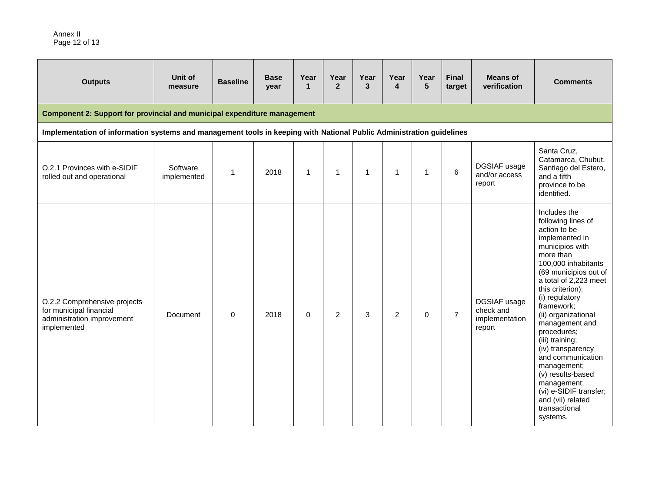| <b>Outputs</b>                                                                                                       | Unit of<br>measure      | <b>Baseline</b> | <b>Base</b><br>year | Year<br>$\mathbf{1}$ | Year<br>$\overline{2}$ | Year<br>3    | Year<br>4      | Year<br>5   | <b>Final</b><br>target | <b>Means of</b><br>verification                       | <b>Comments</b>                                                                                                                                                                                                                                                                                                                                                                                                                                                                       |  |  |
|----------------------------------------------------------------------------------------------------------------------|-------------------------|-----------------|---------------------|----------------------|------------------------|--------------|----------------|-------------|------------------------|-------------------------------------------------------|---------------------------------------------------------------------------------------------------------------------------------------------------------------------------------------------------------------------------------------------------------------------------------------------------------------------------------------------------------------------------------------------------------------------------------------------------------------------------------------|--|--|
| Component 2: Support for provincial and municipal expenditure management                                             |                         |                 |                     |                      |                        |              |                |             |                        |                                                       |                                                                                                                                                                                                                                                                                                                                                                                                                                                                                       |  |  |
| Implementation of information systems and management tools in keeping with National Public Administration guidelines |                         |                 |                     |                      |                        |              |                |             |                        |                                                       |                                                                                                                                                                                                                                                                                                                                                                                                                                                                                       |  |  |
| O.2.1 Provinces with e-SIDIF<br>rolled out and operational                                                           | Software<br>implemented | $\mathbf{1}$    | 2018                | $\mathbf{1}$         | $\mathbf{1}$           | $\mathbf{1}$ | 1              | $\mathbf 1$ | 6                      | DGSIAF usage<br>and/or access<br>report               | Santa Cruz,<br>Catamarca, Chubut,<br>Santiago del Estero,<br>and a fifth<br>province to be<br>identified.                                                                                                                                                                                                                                                                                                                                                                             |  |  |
| O.2.2 Comprehensive projects<br>for municipal financial<br>administration improvement<br>implemented                 | <b>Document</b>         | $\mathbf 0$     | 2018                | $\Omega$             | $\overline{2}$         | 3            | $\overline{2}$ | $\mathbf 0$ | $\overline{7}$         | DGSIAF usage<br>check and<br>implementation<br>report | Includes the<br>following lines of<br>action to be<br>implemented in<br>municipios with<br>more than<br>100,000 inhabitants<br>(69 municipios out of<br>a total of 2,223 meet<br>this criterion):<br>(i) regulatory<br>framework;<br>(ii) organizational<br>management and<br>procedures:<br>(iii) training;<br>(iv) transparency<br>and communication<br>management;<br>(v) results-based<br>management;<br>(vi) e-SIDIF transfer;<br>and (vii) related<br>transactional<br>systems. |  |  |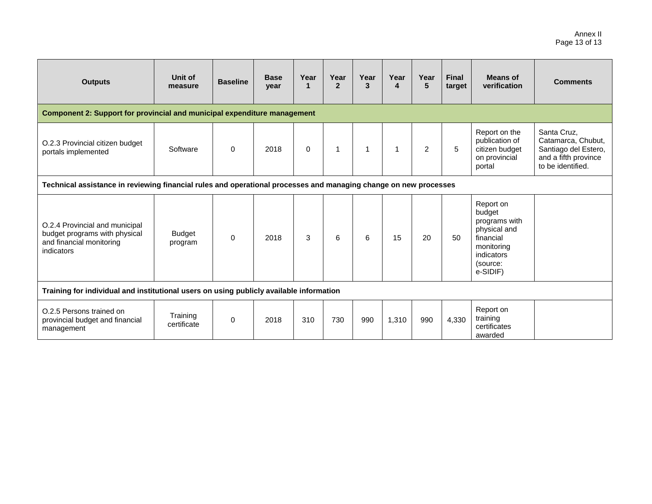| <b>Outputs</b>                                                                                                   | Unit of<br>measure       | <b>Baseline</b> | <b>Base</b><br>year | Year<br>$\mathbf 1$ | Year<br>$\overline{2}$ | Year<br>3 | Year<br>$\overline{\mathbf{4}}$ | Year<br>5      | <b>Final</b><br>target | <b>Means of</b><br>verification                                                                                       | <b>Comments</b>                                                                                        |
|------------------------------------------------------------------------------------------------------------------|--------------------------|-----------------|---------------------|---------------------|------------------------|-----------|---------------------------------|----------------|------------------------|-----------------------------------------------------------------------------------------------------------------------|--------------------------------------------------------------------------------------------------------|
| <b>Component 2: Support for provincial and municipal expenditure management</b>                                  |                          |                 |                     |                     |                        |           |                                 |                |                        |                                                                                                                       |                                                                                                        |
| O.2.3 Provincial citizen budget<br>portals implemented                                                           | Software                 | $\mathbf 0$     | 2018                | $\Omega$            |                        | 1         | $\overline{1}$                  | $\overline{2}$ | 5                      | Report on the<br>publication of<br>citizen budget<br>on provincial<br>portal                                          | Santa Cruz,<br>Catamarca, Chubut,<br>Santiago del Estero,<br>and a fifth province<br>to be identified. |
| Technical assistance in reviewing financial rules and operational processes and managing change on new processes |                          |                 |                     |                     |                        |           |                                 |                |                        |                                                                                                                       |                                                                                                        |
| O.2.4 Provincial and municipal<br>budget programs with physical<br>and financial monitoring<br>indicators        | <b>Budget</b><br>program | $\mathbf 0$     | 2018                | 3                   | 6                      | 6         | 15                              | 20             | 50                     | Report on<br>budget<br>programs with<br>physical and<br>financial<br>monitoring<br>indicators<br>(source:<br>e-SIDIF) |                                                                                                        |
| Training for individual and institutional users on using publicly available information                          |                          |                 |                     |                     |                        |           |                                 |                |                        |                                                                                                                       |                                                                                                        |
| O.2.5 Persons trained on<br>provincial budget and financial<br>management                                        | Training<br>certificate  | $\mathbf 0$     | 2018                | 310                 | 730                    | 990       | 1,310                           | 990            | 4,330                  | Report on<br>training<br>certificates<br>awarded                                                                      |                                                                                                        |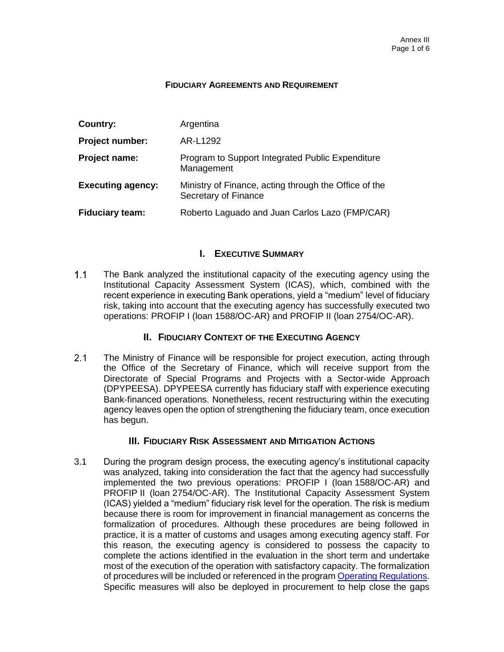#### **FIDUCIARY AGREEMENTS AND REQUIREMENT**

| Country:                 | Argentina                                                                     |
|--------------------------|-------------------------------------------------------------------------------|
| Project number:          | AR-L1292                                                                      |
| Project name:            | Program to Support Integrated Public Expenditure<br>Management                |
| <b>Executing agency:</b> | Ministry of Finance, acting through the Office of the<br>Secretary of Finance |
| <b>Fiduciary team:</b>   | Roberto Laguado and Juan Carlos Lazo (FMP/CAR)                                |

### **I. EXECUTIVE SUMMARY**

 $1.1$ The Bank analyzed the institutional capacity of the executing agency using the Institutional Capacity Assessment System (ICAS), which, combined with the recent experience in executing Bank operations, yield a "medium" level of fiduciary risk, taking into account that the executing agency has successfully executed two operations: PROFIP I (loan 1588/OC-AR) and PROFIP II (loan 2754/OC-AR).

### **II. FIDUCIARY CONTEXT OF THE EXECUTING AGENCY**

 $2.1$ The Ministry of Finance will be responsible for project execution, acting through the Office of the Secretary of Finance, which will receive support from the Directorate of Special Programs and Projects with a Sector-wide Approach (DPYPEESA). DPYPEESA currently has fiduciary staff with experience executing Bank-financed operations. Nonetheless, recent restructuring within the executing agency leaves open the option of strengthening the fiduciary team, once execution has begun.

### **III. FIDUCIARY RISK ASSESSMENT AND MITIGATION ACTIONS**

3.1 During the program design process, the executing agency's institutional capacity was analyzed, taking into consideration the fact that the agency had successfully implemented the two previous operations: PROFIP I (loan 1588/OC-AR) and PROFIP II (loan 2754/OC-AR). The Institutional Capacity Assessment System (ICAS) yielded a "medium" fiduciary risk level for the operation. The risk is medium because there is room for improvement in financial management as concerns the formalization of procedures. Although these procedures are being followed in practice, it is a matter of customs and usages among executing agency staff. For this reason, the executing agency is considered to possess the capacity to complete the actions identified in the evaluation in the short term and undertake most of the execution of the operation with satisfactory capacity. The formalization of procedures will be included or referenced in the program [Operating Regulations.](http://idbdocs.iadb.org/wsdocs/getDocument.aspx?DOCNUM=EZSHARE-119605780-54) Specific measures will also be deployed in procurement to help close the gaps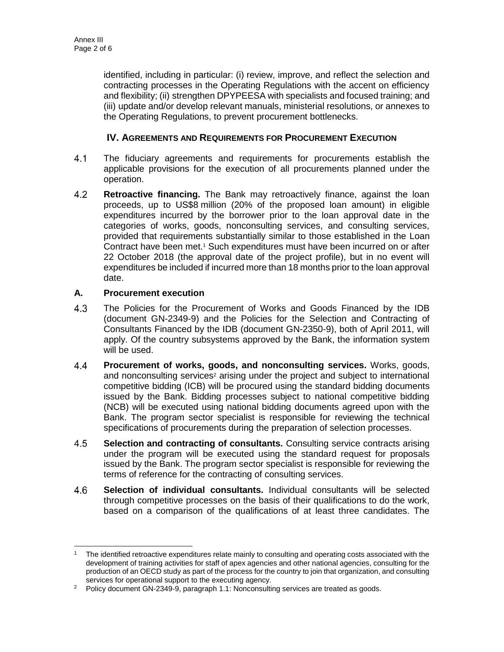identified, including in particular: (i) review, improve, and reflect the selection and contracting processes in the Operating Regulations with the accent on efficiency and flexibility; (ii) strengthen DPYPEESA with specialists and focused training; and (iii) update and/or develop relevant manuals, ministerial resolutions, or annexes to the Operating Regulations, to prevent procurement bottlenecks.

### **IV. AGREEMENTS AND REQUIREMENTS FOR PROCUREMENT EXECUTION**

- $4.1$ The fiduciary agreements and requirements for procurements establish the applicable provisions for the execution of all procurements planned under the operation.
- $4.2$ **Retroactive financing.** The Bank may retroactively finance, against the loan proceeds, up to US\$8 million (20% of the proposed loan amount) in eligible expenditures incurred by the borrower prior to the loan approval date in the categories of works, goods, nonconsulting services, and consulting services, provided that requirements substantially similar to those established in the Loan Contract have been met.<sup>1</sup> Such expenditures must have been incurred on or after 22 October 2018 (the approval date of the project profile), but in no event will expenditures be included if incurred more than 18 months prior to the loan approval date.

### **A. Procurement execution**

- $4.3$ The Policies for the Procurement of Works and Goods Financed by the IDB (document GN-2349-9) and the Policies for the Selection and Contracting of Consultants Financed by the IDB (document GN-2350-9), both of April 2011, will apply. Of the country subsystems approved by the Bank, the information system will be used.
- 4.4 **Procurement of works, goods, and nonconsulting services.** Works, goods, and nonconsulting services<sup>2</sup> arising under the project and subject to international competitive bidding (ICB) will be procured using the standard bidding documents issued by the Bank. Bidding processes subject to national competitive bidding (NCB) will be executed using national bidding documents agreed upon with the Bank. The program sector specialist is responsible for reviewing the technical specifications of procurements during the preparation of selection processes.
- 4.5 **Selection and contracting of consultants.** Consulting service contracts arising under the program will be executed using the standard request for proposals issued by the Bank. The program sector specialist is responsible for reviewing the terms of reference for the contracting of consulting services.
- 4.6 **Selection of individual consultants.** Individual consultants will be selected through competitive processes on the basis of their qualifications to do the work, based on a comparison of the qualifications of at least three candidates. The

 <sup>1</sup> The identified retroactive expenditures relate mainly to consulting and operating costs associated with the development of training activities for staff of apex agencies and other national agencies, consulting for the production of an OECD study as part of the process for the country to join that organization, and consulting services for operational support to the executing agency.

<sup>&</sup>lt;sup>2</sup> Policy document GN-2349-9, paragraph 1.1: Nonconsulting services are treated as goods.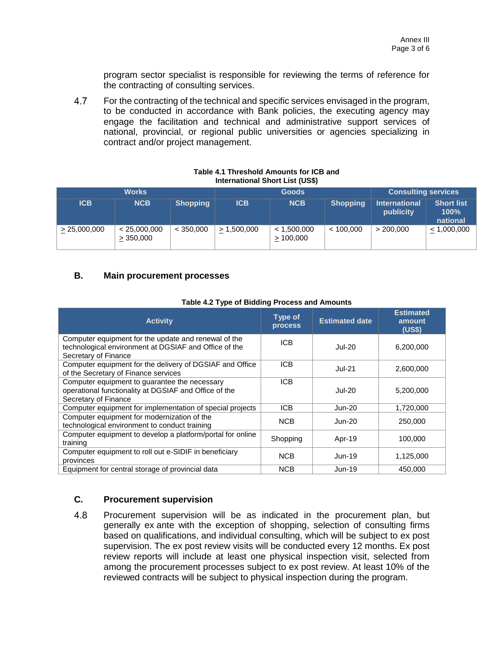program sector specialist is responsible for reviewing the terms of reference for the contracting of consulting services.

4.7 For the contracting of the technical and specific services envisaged in the program, to be conducted in accordance with Bank policies, the executing agency may engage the facilitation and technical and administrative support services of national, provincial, or regional public universities or agencies specializing in contract and/or project management.

| $\frac{1}{2}$ |                           |                 |             |                         |                            |                                   |                                       |
|---------------|---------------------------|-----------------|-------------|-------------------------|----------------------------|-----------------------------------|---------------------------------------|
| <b>Works</b>  |                           |                 |             | <b>Goods</b>            | <b>Consulting services</b> |                                   |                                       |
| <b>ICB</b>    | <b>NCB</b>                | <b>Shopping</b> | <b>ICB</b>  | <b>NCB</b>              | <b>Shopping</b>            | <b>International</b><br>publicity | <b>Short list</b><br>100%<br>national |
| > 25,000,000  | < 25,000,000<br>> 350,000 | < 350.000       | > 1,500,000 | < 1,500,000<br>>100,000 | < 100.000                  | > 200.000                         | < 1,000,000                           |

#### **Table 4.1 Threshold Amounts for ICB and International Short List (US\$)**

### **B. Main procurement processes**

| <b>Activity</b>                                                                                                                       | Type of<br><b>process</b> | <b>Estimated date</b> | <b>Estimated</b><br>amount<br>(US\$) |
|---------------------------------------------------------------------------------------------------------------------------------------|---------------------------|-----------------------|--------------------------------------|
| Computer equipment for the update and renewal of the<br>technological environment at DGSIAF and Office of the<br>Secretary of Finance | ICB.                      | <b>Jul-20</b>         | 6,200,000                            |
| Computer equipment for the delivery of DGSIAF and Office<br>of the Secretary of Finance services                                      | ICB                       | <b>Jul-21</b>         | 2,600,000                            |
| Computer equipment to guarantee the necessary<br>operational functionality at DGSIAF and Office of the<br>Secretary of Finance        | ICB                       | <b>Jul-20</b>         | 5,200,000                            |
| Computer equipment for implementation of special projects                                                                             | <b>ICB</b>                | Jun-20                | 1,720,000                            |
| Computer equipment for modernization of the<br>technological environment to conduct training                                          | <b>NCB</b>                | Jun-20                | 250,000                              |
| Computer equipment to develop a platform/portal for online<br>training                                                                | Shopping                  | Apr-19                | 100,000                              |
| Computer equipment to roll out e-SIDIF in beneficiary<br>provinces                                                                    | <b>NCB</b>                | Jun-19                | 1,125,000                            |
| Equipment for central storage of provincial data                                                                                      | <b>NCB</b>                | Jun-19                | 450,000                              |

### **Table 4.2 Type of Bidding Process and Amounts**

### **C. Procurement supervision**

4.8 Procurement supervision will be as indicated in the procurement plan, but generally ex ante with the exception of shopping, selection of consulting firms based on qualifications, and individual consulting, which will be subject to ex post supervision. The ex post review visits will be conducted every 12 months. Ex post review reports will include at least one physical inspection visit, selected from among the procurement processes subject to ex post review. At least 10% of the reviewed contracts will be subject to physical inspection during the program.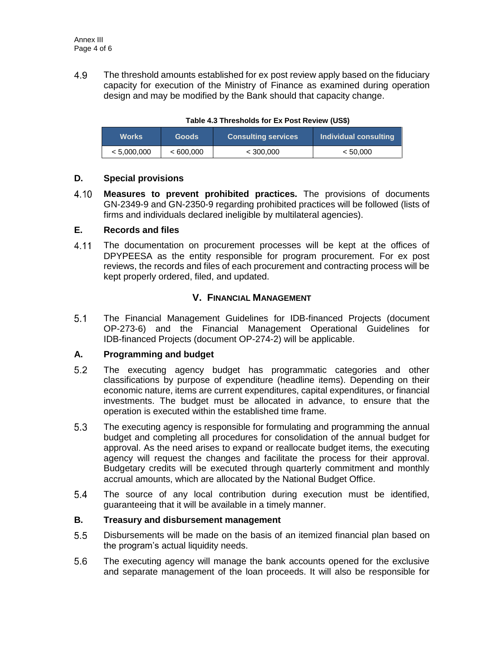4.9 The threshold amounts established for ex post review apply based on the fiduciary capacity for execution of the Ministry of Finance as examined during operation design and may be modified by the Bank should that capacity change.

| <b>Works</b> | <b>Goods</b> | <b>Consulting services</b> | Individual consulting |  |  |
|--------------|--------------|----------------------------|-----------------------|--|--|
| < 5.000.000  | <600,000     | < 300.000                  | < 50.000              |  |  |

#### **Table 4.3 Thresholds for Ex Post Review (US\$)**

### **D. Special provisions**

4.10 **Measures to prevent prohibited practices.** The provisions of documents GN-2349-9 and GN-2350-9 regarding prohibited practices will be followed (lists of firms and individuals declared ineligible by multilateral agencies).

### **E. Records and files**

 $4.11$ The documentation on procurement processes will be kept at the offices of DPYPEESA as the entity responsible for program procurement. For ex post reviews, the records and files of each procurement and contracting process will be kept properly ordered, filed, and updated.

### **V. FINANCIAL MANAGEMENT**

 $5.1$ The Financial Management Guidelines for IDB-financed Projects (document OP-273-6) and the Financial Management Operational Guidelines for IDB-financed Projects (document OP-274-2) will be applicable.

### **A. Programming and budget**

- $5.2$ The executing agency budget has programmatic categories and other classifications by purpose of expenditure (headline items). Depending on their economic nature, items are current expenditures, capital expenditures, or financial investments. The budget must be allocated in advance, to ensure that the operation is executed within the established time frame.
- $5.3$ The executing agency is responsible for formulating and programming the annual budget and completing all procedures for consolidation of the annual budget for approval. As the need arises to expand or reallocate budget items, the executing agency will request the changes and facilitate the process for their approval. Budgetary credits will be executed through quarterly commitment and monthly accrual amounts, which are allocated by the National Budget Office.
- $5.4$ The source of any local contribution during execution must be identified, guaranteeing that it will be available in a timely manner.

#### **B. Treasury and disbursement management**

- $5.5$ Disbursements will be made on the basis of an itemized financial plan based on the program's actual liquidity needs.
- $5.6$ The executing agency will manage the bank accounts opened for the exclusive and separate management of the loan proceeds. It will also be responsible for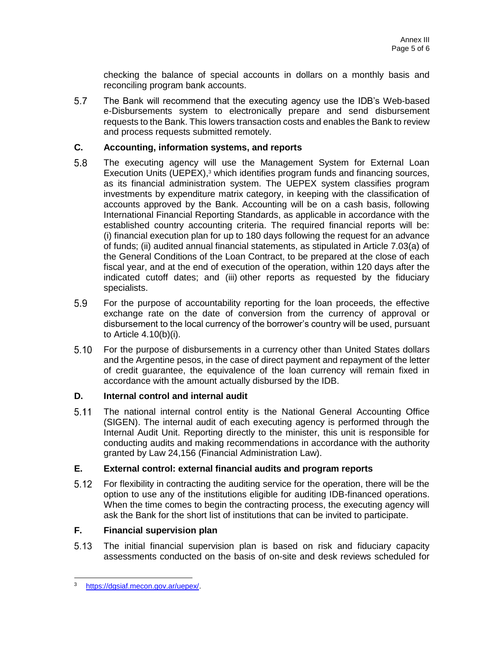checking the balance of special accounts in dollars on a monthly basis and reconciling program bank accounts.

 $5.7$ The Bank will recommend that the executing agency use the IDB's Web-based e-Disbursements system to electronically prepare and send disbursement requests to the Bank. This lowers transaction costs and enables the Bank to review and process requests submitted remotely.

### **C. Accounting, information systems, and reports**

- 5.8 The executing agency will use the Management System for External Loan Execution Units ( $U$ EPEX),<sup>3</sup> which identifies program funds and financing sources, as its financial administration system. The UEPEX system classifies program investments by expenditure matrix category, in keeping with the classification of accounts approved by the Bank. Accounting will be on a cash basis, following International Financial Reporting Standards, as applicable in accordance with the established country accounting criteria. The required financial reports will be: (i) financial execution plan for up to 180 days following the request for an advance of funds; (ii) audited annual financial statements, as stipulated in Article 7.03(a) of the General Conditions of the Loan Contract, to be prepared at the close of each fiscal year, and at the end of execution of the operation, within 120 days after the indicated cutoff dates; and (iii) other reports as requested by the fiduciary specialists.
- $5.9$ For the purpose of accountability reporting for the loan proceeds, the effective exchange rate on the date of conversion from the currency of approval or disbursement to the local currency of the borrower's country will be used, pursuant to Article 4.10(b)(i).
- $5.10$ For the purpose of disbursements in a currency other than United States dollars and the Argentine pesos, in the case of direct payment and repayment of the letter of credit guarantee, the equivalence of the loan currency will remain fixed in accordance with the amount actually disbursed by the IDB.

### **D. Internal control and internal audit**

 $5.11$ The national internal control entity is the National General Accounting Office (SIGEN). The internal audit of each executing agency is performed through the Internal Audit Unit. Reporting directly to the minister, this unit is responsible for conducting audits and making recommendations in accordance with the authority granted by Law 24,156 (Financial Administration Law).

### **E. External control: external financial audits and program reports**

 $5.12$ For flexibility in contracting the auditing service for the operation, there will be the option to use any of the institutions eligible for auditing IDB-financed operations. When the time comes to begin the contracting process, the executing agency will ask the Bank for the short list of institutions that can be invited to participate.

## **F. Financial supervision plan**

 $5.13$ The initial financial supervision plan is based on risk and fiduciary capacity assessments conducted on the basis of on-site and desk reviews scheduled for

<sup>3</sup> [https://dgsiaf.mecon.gov.ar/uepex/.](https://dgsiaf.mecon.gov.ar/uepex/)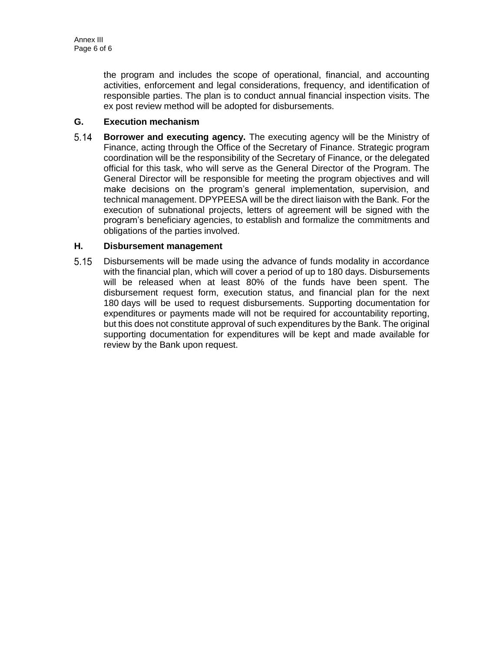the program and includes the scope of operational, financial, and accounting activities, enforcement and legal considerations, frequency, and identification of responsible parties. The plan is to conduct annual financial inspection visits. The ex post review method will be adopted for disbursements.

### **G. Execution mechanism**

 $5.14$ **Borrower and executing agency.** The executing agency will be the Ministry of Finance, acting through the Office of the Secretary of Finance. Strategic program coordination will be the responsibility of the Secretary of Finance, or the delegated official for this task, who will serve as the General Director of the Program. The General Director will be responsible for meeting the program objectives and will make decisions on the program's general implementation, supervision, and technical management. DPYPEESA will be the direct liaison with the Bank. For the execution of subnational projects, letters of agreement will be signed with the program's beneficiary agencies, to establish and formalize the commitments and obligations of the parties involved.

### **H. Disbursement management**

 $5.15$ Disbursements will be made using the advance of funds modality in accordance with the financial plan, which will cover a period of up to 180 days. Disbursements will be released when at least 80% of the funds have been spent. The disbursement request form, execution status, and financial plan for the next 180 days will be used to request disbursements. Supporting documentation for expenditures or payments made will not be required for accountability reporting, but this does not constitute approval of such expenditures by the Bank. The original supporting documentation for expenditures will be kept and made available for review by the Bank upon request.